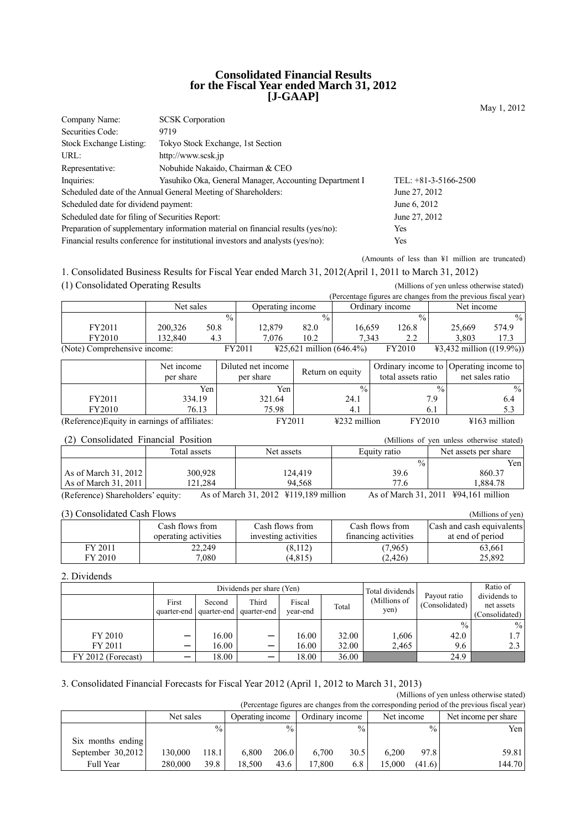### **Consolidated Financial Results for the Fiscal Year ended March 31, 2012 [J-GAAP]**

| <b>SCSK</b> Corporation<br>Company Name:        |                                                                                         |                        |  |  |  |  |
|-------------------------------------------------|-----------------------------------------------------------------------------------------|------------------------|--|--|--|--|
| Securities Code:                                | 9719                                                                                    |                        |  |  |  |  |
| Stock Exchange Listing:                         | Tokyo Stock Exchange, 1st Section                                                       |                        |  |  |  |  |
| URL:                                            | http://www.scsk.jp                                                                      |                        |  |  |  |  |
| Representative:                                 | Nobuhide Nakaido, Chairman & CEO                                                        |                        |  |  |  |  |
| Inquiries:                                      | Yasuhiko Oka, General Manager, Accounting Department I                                  | TEL: $+81-3-5166-2500$ |  |  |  |  |
|                                                 | Scheduled date of the Annual General Meeting of Shareholders:                           | June 27, 2012          |  |  |  |  |
| Scheduled date for dividend payment:            |                                                                                         | June 6, 2012           |  |  |  |  |
| Scheduled date for filing of Securities Report: |                                                                                         | June 27, 2012          |  |  |  |  |
|                                                 | Preparation of supplementary information material on financial results (yes/no):<br>Yes |                        |  |  |  |  |
|                                                 | Financial results conference for institutional investors and analysts (yes/no):<br>Yes  |                        |  |  |  |  |

(Amounts of less than ¥1 million are truncated)

1. Consolidated Business Results for Fiscal Year ended March 31, 2012(April 1, 2011 to March 31, 2012) (1) Consolidated Operating Results (Millions of yen unless otherwise stated)

|                              |           |               |                  |                                    |                 |               | (Percentage figures are changes from the previous fiscal year) |       |
|------------------------------|-----------|---------------|------------------|------------------------------------|-----------------|---------------|----------------------------------------------------------------|-------|
|                              | Net sales |               | Operating income |                                    | Ordinary income |               | Net income                                                     |       |
|                              |           | $\frac{0}{0}$ |                  | $\frac{0}{0}$                      |                 | $\frac{0}{0}$ |                                                                | $\%$  |
| FY2011                       | 200.326   | 50.8          | 12.879           | 82.0                               | 16.659          | 126.8         | 25.669                                                         | 574.9 |
| FY2010                       | 132.840   | 4.3           | 7.076            | 10.2                               | 7.343           | 2.2           | 3.803                                                          | 17.3  |
| (Note) Comprehensive income: |           |               | FY2011           | $\text{\#25,621}$ million (646.4%) |                 | FY2010        | $\text{\#3,432}$ million ((19.9%))                             |       |

|                                               | Net income<br>per share | Diluted net income<br>per share | Return on equity         | total assets ratio | Ordinary income to Operating income to<br>net sales ratio |
|-----------------------------------------------|-------------------------|---------------------------------|--------------------------|--------------------|-----------------------------------------------------------|
|                                               | Yen                     | Yen                             | $\frac{0}{0}$            | $\frac{0}{0}$      | $\frac{0}{0}$                                             |
| FY2011                                        | 334.19                  | 321.64                          | 24.1                     | 7.9                | 6.4                                                       |
| FY2010                                        | 76.13                   | 75.98                           | 4.1                      | 6.1                | 5.3                                                       |
| (Reference) Equity in earnings of affiliates: |                         | FY2011                          | $\frac{1232}{2}$ million | FY2010             | $\text{\#}163$ million                                    |

| Net assets per share |
|----------------------|
| Yen                  |
| 860.37               |
| .884.78              |
|                      |

(Reference) Shareholders' equity: As of March 31, 2012 ¥119,189 million As of March 31, 2011 ¥94,161 million

| (3) Consolidated Cash Flows<br>(Millions of yen) |                    |                                         |                                         |                                         |                                               |  |  |  |  |
|--------------------------------------------------|--------------------|-----------------------------------------|-----------------------------------------|-----------------------------------------|-----------------------------------------------|--|--|--|--|
|                                                  |                    | Cash flows from<br>operating activities | Cash flows from<br>investing activities | Cash flows from<br>financing activities | Cash and cash equivalents<br>at end of period |  |  |  |  |
|                                                  | FY 2011<br>FY 2010 | 22.249<br>7,080                         | (8,112)<br>(4, 815)                     | (7.965)<br>(2, 426)                     | 63,661<br>25,892                              |  |  |  |  |

## 2. Dividends

|                    |                 | Dividends per share (Yen) |                                                  |                    |       |                      | Total dividends | Ratio of       |                                              |
|--------------------|-----------------|---------------------------|--------------------------------------------------|--------------------|-------|----------------------|-----------------|----------------|----------------------------------------------|
|                    | First           | Second                    | Third<br>quarter-end   quarter-end   quarter-end | Fiscal<br>vear-end | Total | (Millions of<br>yen) | Payout ratio    | (Consolidated) | dividends to<br>net assets<br>(Consolidated) |
|                    |                 |                           |                                                  |                    |       |                      | $\frac{0}{0}$   | $\frac{0}{0}$  |                                              |
| FY 2010            | $\qquad \qquad$ | 16.00                     | $\overline{\phantom{m}}$                         | 16.00              | 32.00 | 1,606                | 42.0            |                |                                              |
| FY 2011            |                 | 16.00                     |                                                  | 16.00              | 32.00 | 2,465                | 9.6             |                |                                              |
| FY 2012 (Forecast) | –               | 18.00                     |                                                  | 18.00              | 36.00 |                      | 24.9            |                |                                              |

### 3. Consolidated Financial Forecasts for Fiscal Year 2012 (April 1, 2012 to March 31, 2013)

(Millions of yen unless otherwise stated) (Percentage figures are changes from the corresponding period of the previous fiscal year)

| (I crecinage figures are changes from the corresponding period of the previous fiscar year) |           |               |                  |               |                 |               |            |               |                      |  |
|---------------------------------------------------------------------------------------------|-----------|---------------|------------------|---------------|-----------------|---------------|------------|---------------|----------------------|--|
|                                                                                             | Net sales |               | Operating income |               | Ordinary income |               | Net income |               | Net income per share |  |
|                                                                                             |           | $\frac{0}{0}$ |                  | $\frac{0}{0}$ |                 | $\frac{0}{0}$ |            | $\frac{0}{0}$ | Yen l                |  |
| Six months ending                                                                           |           |               |                  |               |                 |               |            |               |                      |  |
| September $30,2012$                                                                         | 130.000   | 118.1         | 6.800            | 206.0         | 6.700           | 30.5          | 6.200      | 97.8          | 59.81                |  |
| Full Year                                                                                   | 280,000   | 39.8          | 18.500           | 43.6          | 17.800          | 6.8           | 15.000     | (41.6)        | 144.70               |  |

May 1, 2012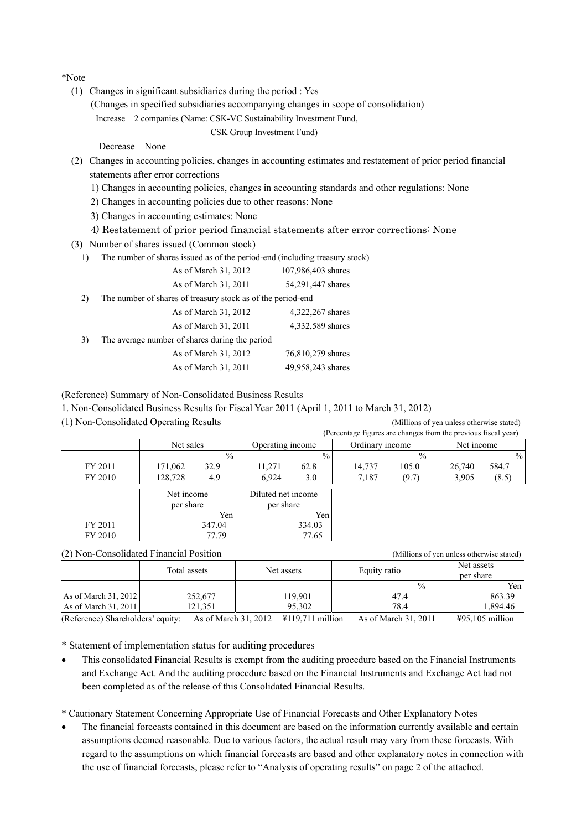\*Note

- (1) Changes in significant subsidiaries during the period : Yes
	- (Changes in specified subsidiaries accompanying changes in scope of consolidation)

Increase 2 companies (Name: CSK-VC Sustainability Investment Fund,

```
CSK Group Investment Fund)
```
Decrease None

- (2) Changes in accounting policies, changes in accounting estimates and restatement of prior period financial statements after error corrections
	- 1) Changes in accounting policies, changes in accounting standards and other regulations: None
	- 2) Changes in accounting policies due to other reasons: None
	- 3) Changes in accounting estimates: None
	- 4) Restatement of prior period financial statements after error corrections: None
- (3) Number of shares issued (Common stock)
	- 1) The number of shares issued as of the period-end (including treasury stock)

|    | As of March 31, 2012                                        | 107,986,403 shares |
|----|-------------------------------------------------------------|--------------------|
|    | As of March 31, 2011                                        | 54,291,447 shares  |
| 2) | The number of shares of treasury stock as of the period-end |                    |
|    | As of March 31, 2012                                        | 4,322,267 shares   |
|    | As of March 31, 2011                                        | 4,332,589 shares   |
| 3) | The average number of shares during the period              |                    |
|    | As of March 31, 2012                                        | 76,810,279 shares  |
|    | As of March 31, 2011                                        | 49,958,243 shares  |
|    |                                                             |                    |

(Reference) Summary of Non-Consolidated Business Results

1. Non-Consolidated Business Results for Fiscal Year 2011 (April 1, 2011 to March 31, 2012)

(1) Non-Consolidated Operating Results (Millions of yen unless otherwise stated)

|         |                         |                                 | (Percentage figures are changes from the previous fiscal year) |                 |  |
|---------|-------------------------|---------------------------------|----------------------------------------------------------------|-----------------|--|
|         | Net sales               | Operating income                | Ordinary income                                                | Net income      |  |
|         | $\%$                    | $\frac{0}{0}$                   | $\frac{0}{0}$                                                  | $\frac{0}{0}$   |  |
| FY 2011 | 32.9<br>171,062         | 11,271<br>62.8                  | 14,737<br>105.0                                                | 584.7<br>26,740 |  |
| FY 2010 | 128.728<br>4.9          | 6.924<br>3.0                    | 7,187<br>(9.7)                                                 | 3,905<br>(8.5)  |  |
|         | Net income<br>per share | Diluted net income<br>per share |                                                                |                 |  |
|         | Yen                     | Yen                             |                                                                |                 |  |
| FY 2011 | 347.04                  | 334.03                          |                                                                |                 |  |
| FY 2010 | 77.79                   | 77.65                           |                                                                |                 |  |

|                      | (2) Non-Consolidated Financial Position | (Millions of yen unless otherwise stated) |               |                         |
|----------------------|-----------------------------------------|-------------------------------------------|---------------|-------------------------|
|                      | Total assets                            |                                           | Equity ratio  | Net assets<br>per share |
|                      |                                         |                                           | $\frac{0}{0}$ | Yen l                   |
| As of March 31, 2012 | 252,677                                 | 119.901                                   | 47.4          | 863.39                  |
| As of March 31, 2011 | 121.351                                 | 95.302                                    | 78.4          | .894.46                 |

(Reference) Shareholders' equity: As of March 31, 2012 ¥119,711 million As of March 31, 2011 ¥95,105 million

\* Statement of implementation status for auditing procedures

• This consolidated Financial Results is exempt from the auditing procedure based on the Financial Instruments and Exchange Act. And the auditing procedure based on the Financial Instruments and Exchange Act had not been completed as of the release of this Consolidated Financial Results.

\* Cautionary Statement Concerning Appropriate Use of Financial Forecasts and Other Explanatory Notes

• The financial forecasts contained in this document are based on the information currently available and certain assumptions deemed reasonable. Due to various factors, the actual result may vary from these forecasts. With regard to the assumptions on which financial forecasts are based and other explanatory notes in connection with the use of financial forecasts, please refer to "Analysis of operating results" on page 2 of the attached.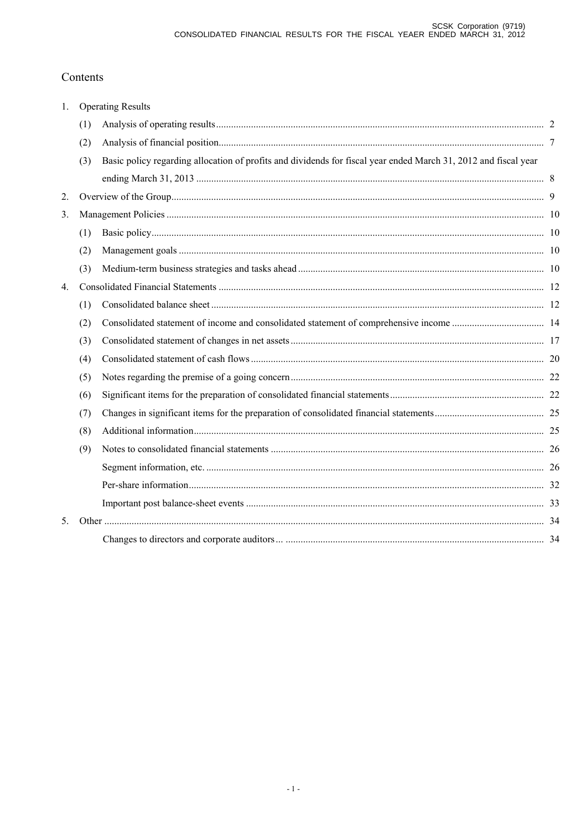# Contents

| 1.               |     | <b>Operating Results</b>                                                                                        |  |
|------------------|-----|-----------------------------------------------------------------------------------------------------------------|--|
|                  | (1) |                                                                                                                 |  |
|                  | (2) |                                                                                                                 |  |
|                  | (3) | Basic policy regarding allocation of profits and dividends for fiscal year ended March 31, 2012 and fiscal year |  |
|                  |     |                                                                                                                 |  |
| 2.               |     |                                                                                                                 |  |
| 3.               |     |                                                                                                                 |  |
|                  | (1) |                                                                                                                 |  |
|                  | (2) |                                                                                                                 |  |
|                  | (3) |                                                                                                                 |  |
| $\overline{4}$ . |     |                                                                                                                 |  |
|                  | (1) |                                                                                                                 |  |
|                  | (2) |                                                                                                                 |  |
|                  | (3) |                                                                                                                 |  |
|                  | (4) |                                                                                                                 |  |
|                  | (5) |                                                                                                                 |  |
|                  | (6) |                                                                                                                 |  |
|                  | (7) |                                                                                                                 |  |
|                  | (8) |                                                                                                                 |  |
|                  | (9) |                                                                                                                 |  |
|                  |     |                                                                                                                 |  |
|                  |     |                                                                                                                 |  |
|                  |     |                                                                                                                 |  |
| 5.               |     |                                                                                                                 |  |
|                  |     |                                                                                                                 |  |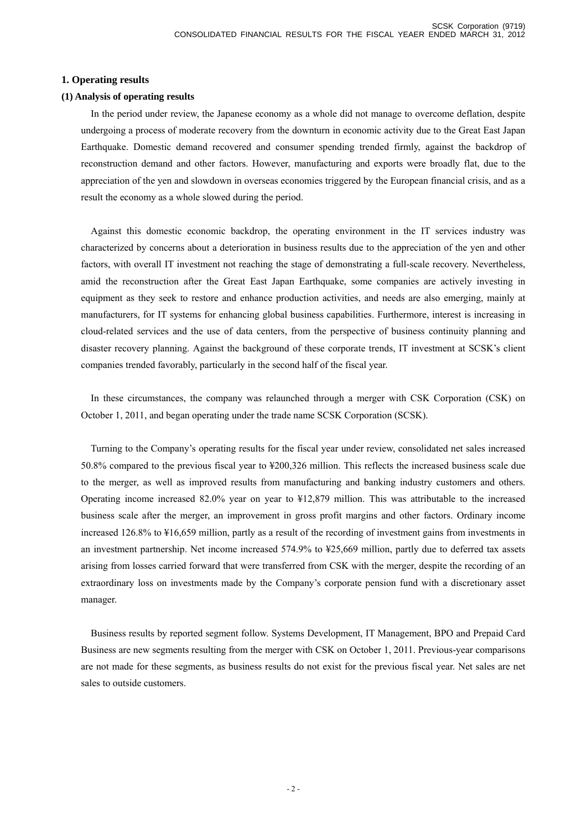## **1. Operating results**

### **(1) Analysis of operating results**

In the period under review, the Japanese economy as a whole did not manage to overcome deflation, despite undergoing a process of moderate recovery from the downturn in economic activity due to the Great East Japan Earthquake. Domestic demand recovered and consumer spending trended firmly, against the backdrop of reconstruction demand and other factors. However, manufacturing and exports were broadly flat, due to the appreciation of the yen and slowdown in overseas economies triggered by the European financial crisis, and as a result the economy as a whole slowed during the period.

Against this domestic economic backdrop, the operating environment in the IT services industry was characterized by concerns about a deterioration in business results due to the appreciation of the yen and other factors, with overall IT investment not reaching the stage of demonstrating a full-scale recovery. Nevertheless, amid the reconstruction after the Great East Japan Earthquake, some companies are actively investing in equipment as they seek to restore and enhance production activities, and needs are also emerging, mainly at manufacturers, for IT systems for enhancing global business capabilities. Furthermore, interest is increasing in cloud-related services and the use of data centers, from the perspective of business continuity planning and disaster recovery planning. Against the background of these corporate trends, IT investment at SCSK's client companies trended favorably, particularly in the second half of the fiscal year.

In these circumstances, the company was relaunched through a merger with CSK Corporation (CSK) on October 1, 2011, and began operating under the trade name SCSK Corporation (SCSK).

Turning to the Company's operating results for the fiscal year under review, consolidated net sales increased 50.8% compared to the previous fiscal year to ¥200,326 million. This reflects the increased business scale due to the merger, as well as improved results from manufacturing and banking industry customers and others. Operating income increased 82.0% year on year to ¥12,879 million. This was attributable to the increased business scale after the merger, an improvement in gross profit margins and other factors. Ordinary income increased 126.8% to ¥16,659 million, partly as a result of the recording of investment gains from investments in an investment partnership. Net income increased 574.9% to ¥25,669 million, partly due to deferred tax assets arising from losses carried forward that were transferred from CSK with the merger, despite the recording of an extraordinary loss on investments made by the Company's corporate pension fund with a discretionary asset manager.

Business results by reported segment follow. Systems Development, IT Management, BPO and Prepaid Card Business are new segments resulting from the merger with CSK on October 1, 2011. Previous-year comparisons are not made for these segments, as business results do not exist for the previous fiscal year. Net sales are net sales to outside customers.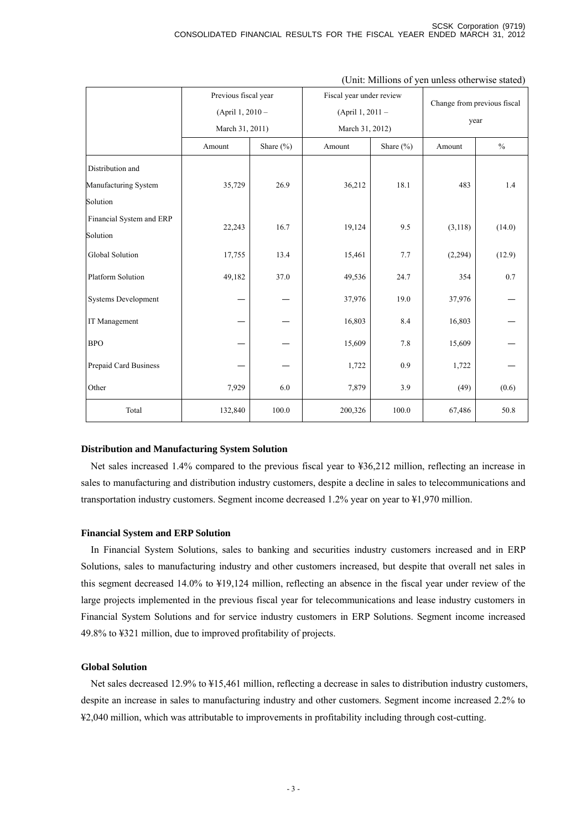|                          | Previous fiscal year |           | Fiscal year under review |               | Change from previous fiscal |        |
|--------------------------|----------------------|-----------|--------------------------|---------------|-----------------------------|--------|
|                          | (April 1, 2010 -     |           | (April 1, 2011 -         |               | year                        |        |
|                          | March 31, 2011)      |           | March 31, 2012)          |               |                             |        |
|                          | Amount               | Share (%) | Amount                   | Share $(\% )$ | Amount                      | $\%$   |
| Distribution and         |                      |           |                          |               |                             |        |
| Manufacturing System     | 35,729               | 26.9      | 36,212                   | 18.1          | 483                         | 1.4    |
| Solution                 |                      |           |                          |               |                             |        |
| Financial System and ERP | 22,243               | 16.7      | 19,124                   | 9.5           | (3, 118)                    | (14.0) |
| Solution                 |                      |           |                          |               |                             |        |
| Global Solution          | 17,755               | 13.4      | 15,461                   | 7.7           | (2,294)                     | (12.9) |
| Platform Solution        | 49,182               | 37.0      | 49,536                   | 24.7          | 354                         | 0.7    |
| Systems Development      |                      |           | 37,976                   | 19.0          | 37,976                      |        |
| IT Management            |                      |           | 16,803                   | 8.4           | 16,803                      |        |
| <b>BPO</b>               |                      |           | 15,609                   | 7.8           | 15,609                      |        |
| Prepaid Card Business    |                      |           | 1,722                    | 0.9           | 1,722                       |        |
| Other                    | 7,929                | 6.0       | 7,879                    | 3.9           | (49)                        | (0.6)  |
| Total                    | 132,840              | 100.0     | 200,326                  | 100.0         | 67,486                      | 50.8   |

#### (Unit: Millions of yen unless otherwise stated)

### **Distribution and Manufacturing System Solution**

Net sales increased 1.4% compared to the previous fiscal year to ¥36,212 million, reflecting an increase in sales to manufacturing and distribution industry customers, despite a decline in sales to telecommunications and transportation industry customers. Segment income decreased 1.2% year on year to ¥1,970 million.

### **Financial System and ERP Solution**

In Financial System Solutions, sales to banking and securities industry customers increased and in ERP Solutions, sales to manufacturing industry and other customers increased, but despite that overall net sales in this segment decreased 14.0% to ¥19,124 million, reflecting an absence in the fiscal year under review of the large projects implemented in the previous fiscal year for telecommunications and lease industry customers in Financial System Solutions and for service industry customers in ERP Solutions. Segment income increased 49.8% to ¥321 million, due to improved profitability of projects.

### **Global Solution**

Net sales decreased 12.9% to ¥15,461 million, reflecting a decrease in sales to distribution industry customers, despite an increase in sales to manufacturing industry and other customers. Segment income increased 2.2% to ¥2,040 million, which was attributable to improvements in profitability including through cost-cutting.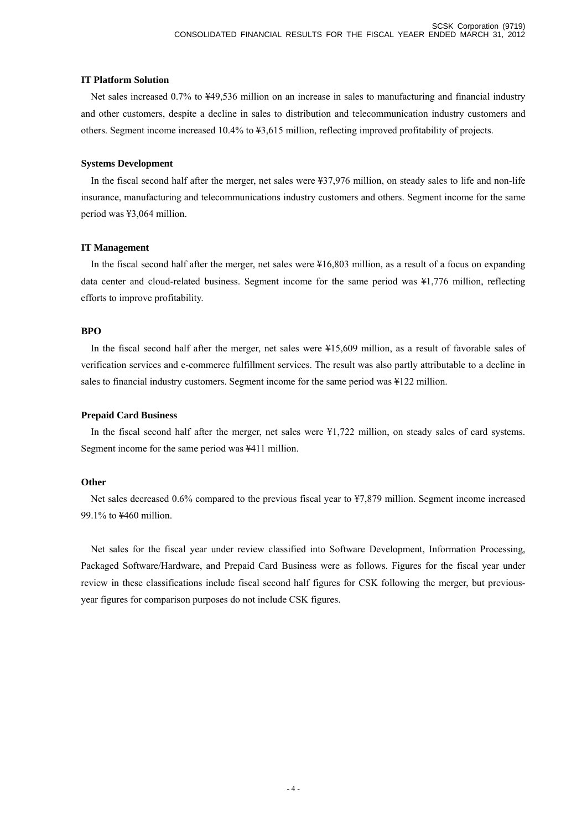### **IT Platform Solution**

Net sales increased 0.7% to ¥49,536 million on an increase in sales to manufacturing and financial industry and other customers, despite a decline in sales to distribution and telecommunication industry customers and others. Segment income increased 10.4% to ¥3,615 million, reflecting improved profitability of projects.

### **Systems Development**

In the fiscal second half after the merger, net sales were ¥37,976 million, on steady sales to life and non-life insurance, manufacturing and telecommunications industry customers and others. Segment income for the same period was ¥3,064 million.

### **IT Management**

In the fiscal second half after the merger, net sales were ¥16,803 million, as a result of a focus on expanding data center and cloud-related business. Segment income for the same period was ¥1,776 million, reflecting efforts to improve profitability.

### **BPO**

In the fiscal second half after the merger, net sales were ¥15,609 million, as a result of favorable sales of verification services and e-commerce fulfillment services. The result was also partly attributable to a decline in sales to financial industry customers. Segment income for the same period was ¥122 million.

### **Prepaid Card Business**

In the fiscal second half after the merger, net sales were ¥1,722 million, on steady sales of card systems. Segment income for the same period was ¥411 million.

### **Other**

Net sales decreased 0.6% compared to the previous fiscal year to ¥7,879 million. Segment income increased 99.1% to ¥460 million.

Net sales for the fiscal year under review classified into Software Development, Information Processing, Packaged Software/Hardware, and Prepaid Card Business were as follows. Figures for the fiscal year under review in these classifications include fiscal second half figures for CSK following the merger, but previousyear figures for comparison purposes do not include CSK figures.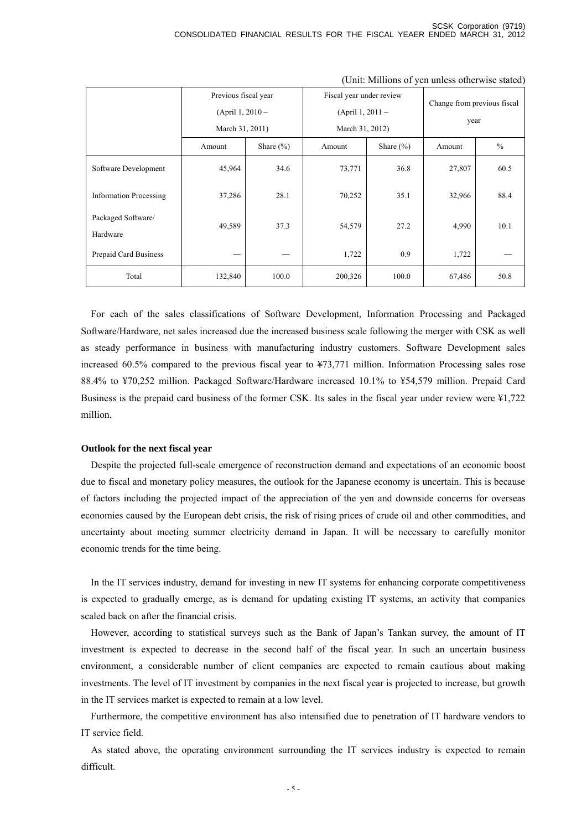|                                | Previous fiscal year<br>(April 1, $2010 -$<br>March 31, 2011) |               | Fiscal year under review<br>(April 1, $2011 -$<br>March 31, 2012) |               | Change from previous fiscal<br>year |               |
|--------------------------------|---------------------------------------------------------------|---------------|-------------------------------------------------------------------|---------------|-------------------------------------|---------------|
|                                | Amount                                                        | Share $(\% )$ | Amount                                                            | Share $(\% )$ | Amount                              | $\frac{0}{0}$ |
| Software Development           | 45,964                                                        | 34.6          | 73,771                                                            | 36.8          | 27,807                              | 60.5          |
| <b>Information Processing</b>  | 37,286                                                        | 28.1          | 70,252                                                            | 35.1          | 32,966                              | 88.4          |
| Packaged Software/<br>Hardware | 49,589                                                        | 37.3          | 54,579                                                            | 27.2          | 4,990                               | 10.1          |
| Prepaid Card Business          |                                                               |               | 1,722                                                             | 0.9           | 1,722                               |               |
| Total                          | 132,840                                                       | 100.0         | 200,326                                                           | 100.0         | 67,486                              | 50.8          |

(Unit: Millions of yen unless otherwise stated)

For each of the sales classifications of Software Development, Information Processing and Packaged Software/Hardware, net sales increased due the increased business scale following the merger with CSK as well as steady performance in business with manufacturing industry customers. Software Development sales increased 60.5% compared to the previous fiscal year to ¥73,771 million. Information Processing sales rose 88.4% to ¥70,252 million. Packaged Software/Hardware increased 10.1% to ¥54,579 million. Prepaid Card Business is the prepaid card business of the former CSK. Its sales in the fiscal year under review were ¥1,722 million.

### **Outlook for the next fiscal year**

Despite the projected full-scale emergence of reconstruction demand and expectations of an economic boost due to fiscal and monetary policy measures, the outlook for the Japanese economy is uncertain. This is because of factors including the projected impact of the appreciation of the yen and downside concerns for overseas economies caused by the European debt crisis, the risk of rising prices of crude oil and other commodities, and uncertainty about meeting summer electricity demand in Japan. It will be necessary to carefully monitor economic trends for the time being.

In the IT services industry, demand for investing in new IT systems for enhancing corporate competitiveness is expected to gradually emerge, as is demand for updating existing IT systems, an activity that companies scaled back on after the financial crisis.

However, according to statistical surveys such as the Bank of Japan's Tankan survey, the amount of IT investment is expected to decrease in the second half of the fiscal year. In such an uncertain business environment, a considerable number of client companies are expected to remain cautious about making investments. The level of IT investment by companies in the next fiscal year is projected to increase, but growth in the IT services market is expected to remain at a low level.

Furthermore, the competitive environment has also intensified due to penetration of IT hardware vendors to IT service field.

As stated above, the operating environment surrounding the IT services industry is expected to remain difficult.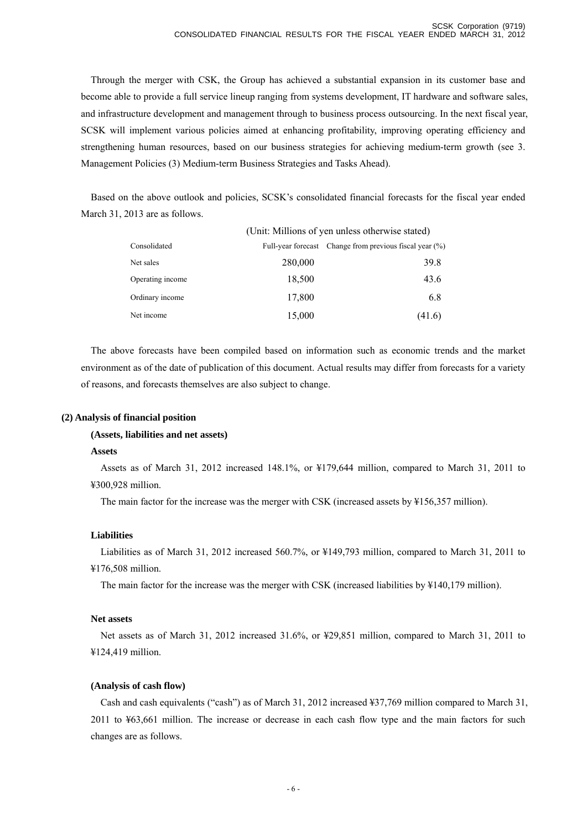Through the merger with CSK, the Group has achieved a substantial expansion in its customer base and become able to provide a full service lineup ranging from systems development, IT hardware and software sales, and infrastructure development and management through to business process outsourcing. In the next fiscal year, SCSK will implement various policies aimed at enhancing profitability, improving operating efficiency and strengthening human resources, based on our business strategies for achieving medium-term growth (see 3. Management Policies (3) Medium-term Business Strategies and Tasks Ahead).

Based on the above outlook and policies, SCSK's consolidated financial forecasts for the fiscal year ended March 31, 2013 are as follows.

|                  | (Unit: Millions of yen unless otherwise stated) |                                                            |  |
|------------------|-------------------------------------------------|------------------------------------------------------------|--|
| Consolidated     |                                                 | Full-year forecast Change from previous fiscal year $(\%)$ |  |
| Net sales        | 280,000                                         | 39.8                                                       |  |
| Operating income | 18,500                                          | 43.6                                                       |  |
| Ordinary income  | 17,800                                          | 6.8                                                        |  |
| Net income       | 15,000                                          | (41.6)                                                     |  |

The above forecasts have been compiled based on information such as economic trends and the market environment as of the date of publication of this document. Actual results may differ from forecasts for a variety of reasons, and forecasts themselves are also subject to change.

### **(2) Analysis of financial position**

### **(Assets, liabilities and net assets)**

### **Assets**

Assets as of March 31, 2012 increased 148.1%, or ¥179,644 million, compared to March 31, 2011 to ¥300,928 million.

The main factor for the increase was the merger with CSK (increased assets by ¥156,357 million).

### **Liabilities**

Liabilities as of March 31, 2012 increased 560.7%, or ¥149,793 million, compared to March 31, 2011 to ¥176,508 million.

The main factor for the increase was the merger with CSK (increased liabilities by  $\frac{1}{4}140,179$  million).

### **Net assets**

Net assets as of March 31, 2012 increased 31.6%, or ¥29,851 million, compared to March 31, 2011 to ¥124,419 million.

### **(Analysis of cash flow)**

Cash and cash equivalents ("cash") as of March 31, 2012 increased ¥37,769 million compared to March 31, 2011 to ¥63,661 million. The increase or decrease in each cash flow type and the main factors for such changes are as follows.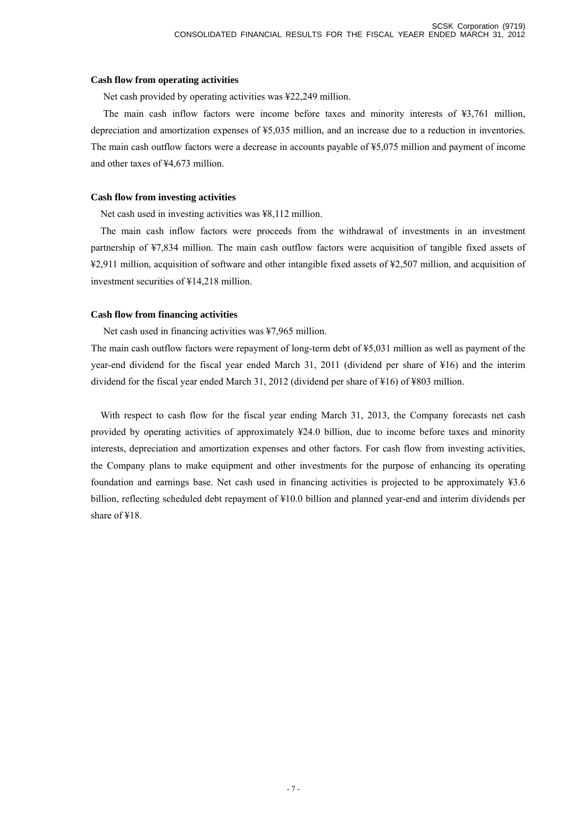### **Cash flow from operating activities**

Net cash provided by operating activities was ¥22,249 million.

 The main cash inflow factors were income before taxes and minority interests of ¥3,761 million, depreciation and amortization expenses of ¥5,035 million, and an increase due to a reduction in inventories. The main cash outflow factors were a decrease in accounts payable of ¥5,075 million and payment of income and other taxes of ¥4,673 million.

### **Cash flow from investing activities**

Net cash used in investing activities was ¥8,112 million.

The main cash inflow factors were proceeds from the withdrawal of investments in an investment partnership of ¥7,834 million. The main cash outflow factors were acquisition of tangible fixed assets of ¥2,911 million, acquisition of software and other intangible fixed assets of ¥2,507 million, and acquisition of investment securities of ¥14,218 million.

### **Cash flow from financing activities**

Net cash used in financing activities was ¥7,965 million.

 The main cash outflow factors were repayment of long-term debt of ¥5,031 million as well as payment of the year-end dividend for the fiscal year ended March 31, 2011 (dividend per share of ¥16) and the interim dividend for the fiscal year ended March 31, 2012 (dividend per share of ¥16) of ¥803 million.

With respect to cash flow for the fiscal year ending March 31, 2013, the Company forecasts net cash provided by operating activities of approximately ¥24.0 billion, due to income before taxes and minority interests, depreciation and amortization expenses and other factors. For cash flow from investing activities, the Company plans to make equipment and other investments for the purpose of enhancing its operating foundation and earnings base. Net cash used in financing activities is projected to be approximately ¥3.6 billion, reflecting scheduled debt repayment of ¥10.0 billion and planned year-end and interim dividends per share of ¥18.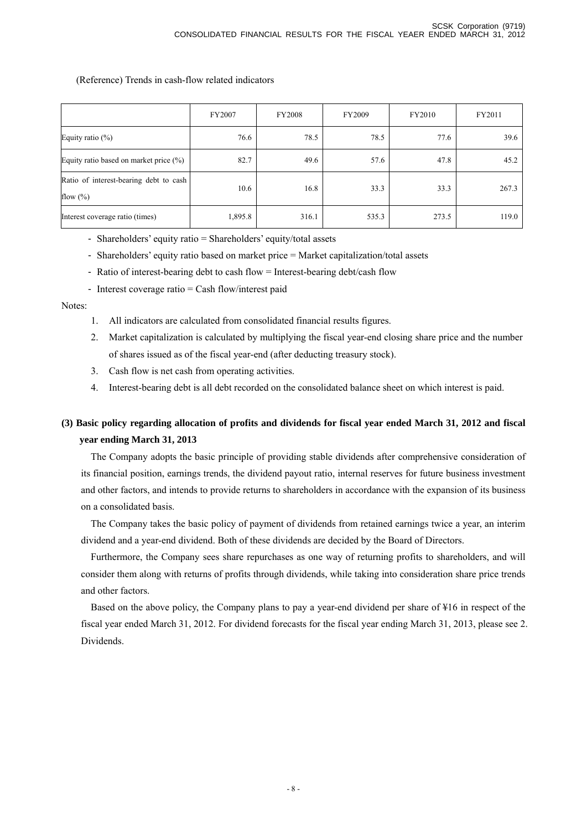### (Reference) Trends in cash-flow related indicators

|                                                        | FY2007  | <b>FY2008</b> | FY2009 | FY2010 | FY2011 |
|--------------------------------------------------------|---------|---------------|--------|--------|--------|
| Equity ratio $(\%)$                                    | 76.6    | 78.5          | 78.5   | 77.6   | 39.6   |
| Equity ratio based on market price $(\% )$             | 82.7    | 49.6          | 57.6   | 47.8   | 45.2   |
| Ratio of interest-bearing debt to cash<br>flow $(\% )$ | 10.6    | 16.8          | 33.3   | 33.3   | 267.3  |
| Interest coverage ratio (times)                        | 1,895.8 | 316.1         | 535.3  | 273.5  | 119.0  |

- Shareholders' equity ratio = Shareholders' equity/total assets
- Shareholders' equity ratio based on market price = Market capitalization/total assets
- Ratio of interest-bearing debt to cash flow = Interest-bearing debt/cash flow
- Interest coverage ratio = Cash flow/interest paid

### Notes:

- 1. All indicators are calculated from consolidated financial results figures.
- 2. Market capitalization is calculated by multiplying the fiscal year-end closing share price and the number of shares issued as of the fiscal year-end (after deducting treasury stock).
- 3. Cash flow is net cash from operating activities.
- 4. Interest-bearing debt is all debt recorded on the consolidated balance sheet on which interest is paid.

# **(3) Basic policy regarding allocation of profits and dividends for fiscal year ended March 31, 2012 and fiscal year ending March 31, 2013**

The Company adopts the basic principle of providing stable dividends after comprehensive consideration of its financial position, earnings trends, the dividend payout ratio, internal reserves for future business investment and other factors, and intends to provide returns to shareholders in accordance with the expansion of its business on a consolidated basis.

The Company takes the basic policy of payment of dividends from retained earnings twice a year, an interim dividend and a year-end dividend. Both of these dividends are decided by the Board of Directors.

Furthermore, the Company sees share repurchases as one way of returning profits to shareholders, and will consider them along with returns of profits through dividends, while taking into consideration share price trends and other factors.

Based on the above policy, the Company plans to pay a year-end dividend per share of ¥16 in respect of the fiscal year ended March 31, 2012. For dividend forecasts for the fiscal year ending March 31, 2013, please see 2. Dividends.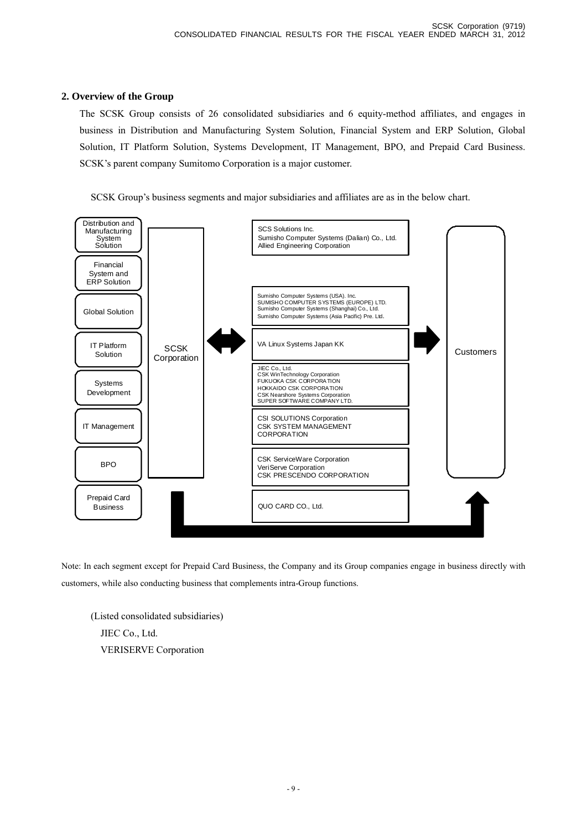# **2. Overview of the Group**

The SCSK Group consists of 26 consolidated subsidiaries and 6 equity-method affiliates, and engages in business in Distribution and Manufacturing System Solution, Financial System and ERP Solution, Global Solution, IT Platform Solution, Systems Development, IT Management, BPO, and Prepaid Card Business. SCSK's parent company Sumitomo Corporation is a major customer.

SCSK Group's business segments and major subsidiaries and affiliates are as in the below chart.



Note: In each segment except for Prepaid Card Business, the Company and its Group companies engage in business directly with customers, while also conducting business that complements intra-Group functions.

(Listed consolidated subsidiaries) JIEC Co., Ltd. VERISERVE Corporation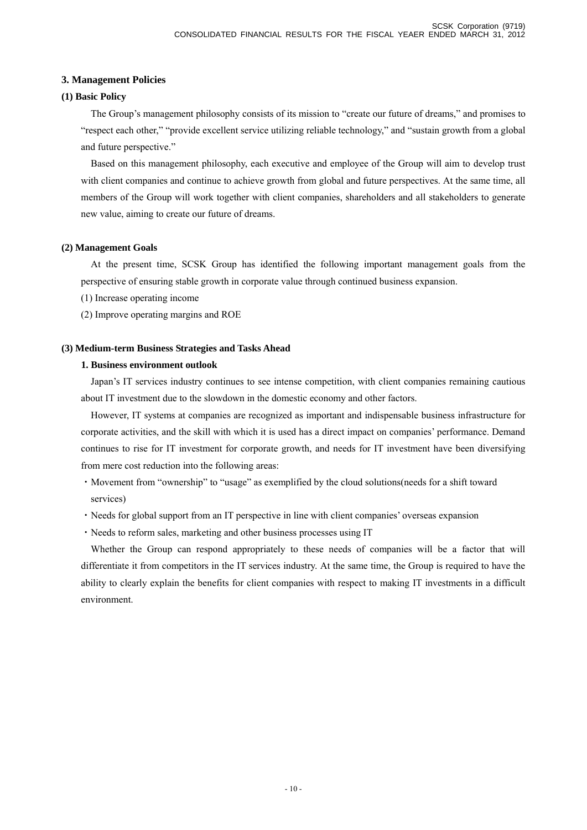# **3. Management Policies**

# **(1) Basic Policy**

The Group's management philosophy consists of its mission to "create our future of dreams," and promises to "respect each other," "provide excellent service utilizing reliable technology," and "sustain growth from a global and future perspective."

Based on this management philosophy, each executive and employee of the Group will aim to develop trust with client companies and continue to achieve growth from global and future perspectives. At the same time, all members of the Group will work together with client companies, shareholders and all stakeholders to generate new value, aiming to create our future of dreams.

# **(2) Management Goals**

At the present time, SCSK Group has identified the following important management goals from the perspective of ensuring stable growth in corporate value through continued business expansion.

(1) Increase operating income

(2) Improve operating margins and ROE

# **(3) Medium-term Business Strategies and Tasks Ahead**

# **1. Business environment outlook**

Japan's IT services industry continues to see intense competition, with client companies remaining cautious about IT investment due to the slowdown in the domestic economy and other factors.

However, IT systems at companies are recognized as important and indispensable business infrastructure for corporate activities, and the skill with which it is used has a direct impact on companies' performance. Demand continues to rise for IT investment for corporate growth, and needs for IT investment have been diversifying from mere cost reduction into the following areas:

- ・Movement from "ownership" to "usage" as exemplified by the cloud solutions(needs for a shift toward services)
- ・Needs for global support from an IT perspective in line with client companies' overseas expansion
- ・Needs to reform sales, marketing and other business processes using IT

Whether the Group can respond appropriately to these needs of companies will be a factor that will differentiate it from competitors in the IT services industry. At the same time, the Group is required to have the ability to clearly explain the benefits for client companies with respect to making IT investments in a difficult environment.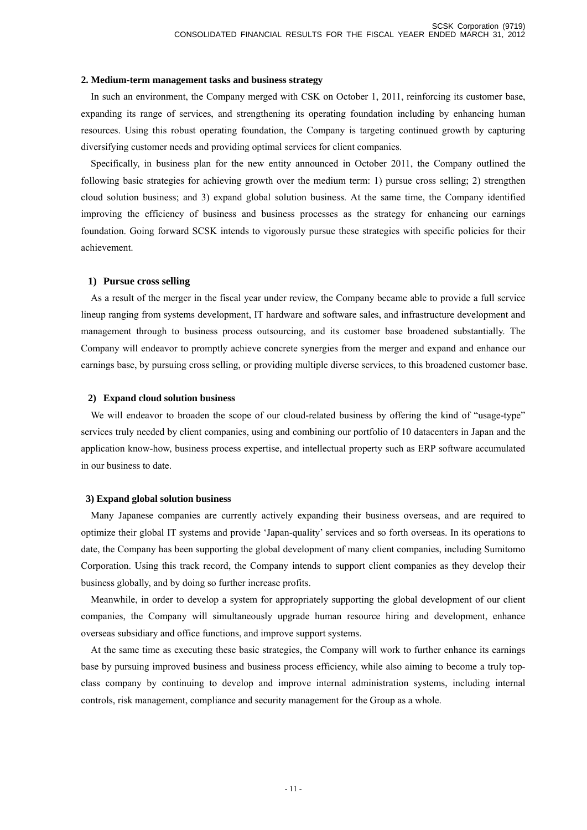### **2. Medium-term management tasks and business strategy**

In such an environment, the Company merged with CSK on October 1, 2011, reinforcing its customer base, expanding its range of services, and strengthening its operating foundation including by enhancing human resources. Using this robust operating foundation, the Company is targeting continued growth by capturing diversifying customer needs and providing optimal services for client companies.

Specifically, in business plan for the new entity announced in October 2011, the Company outlined the following basic strategies for achieving growth over the medium term: 1) pursue cross selling; 2) strengthen cloud solution business; and 3) expand global solution business. At the same time, the Company identified improving the efficiency of business and business processes as the strategy for enhancing our earnings foundation. Going forward SCSK intends to vigorously pursue these strategies with specific policies for their achievement.

### **1) Pursue cross selling**

As a result of the merger in the fiscal year under review, the Company became able to provide a full service lineup ranging from systems development, IT hardware and software sales, and infrastructure development and management through to business process outsourcing, and its customer base broadened substantially. The Company will endeavor to promptly achieve concrete synergies from the merger and expand and enhance our earnings base, by pursuing cross selling, or providing multiple diverse services, to this broadened customer base.

### **2) Expand cloud solution business**

We will endeavor to broaden the scope of our cloud-related business by offering the kind of "usage-type" services truly needed by client companies, using and combining our portfolio of 10 datacenters in Japan and the application know-how, business process expertise, and intellectual property such as ERP software accumulated in our business to date.

### **3) Expand global solution business**

Many Japanese companies are currently actively expanding their business overseas, and are required to optimize their global IT systems and provide 'Japan-quality' services and so forth overseas. In its operations to date, the Company has been supporting the global development of many client companies, including Sumitomo Corporation. Using this track record, the Company intends to support client companies as they develop their business globally, and by doing so further increase profits.

Meanwhile, in order to develop a system for appropriately supporting the global development of our client companies, the Company will simultaneously upgrade human resource hiring and development, enhance overseas subsidiary and office functions, and improve support systems.

At the same time as executing these basic strategies, the Company will work to further enhance its earnings base by pursuing improved business and business process efficiency, while also aiming to become a truly topclass company by continuing to develop and improve internal administration systems, including internal controls, risk management, compliance and security management for the Group as a whole.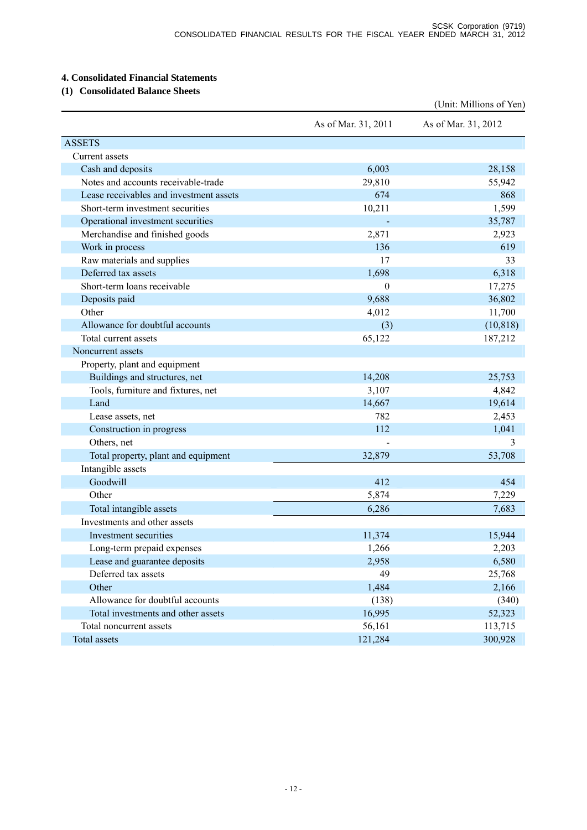# **4. Consolidated Financial Statements**

# **(1) Consolidated Balance Sheets**

|                                         |                     | (Unit: Millions of Yen) |
|-----------------------------------------|---------------------|-------------------------|
|                                         | As of Mar. 31, 2011 | As of Mar. 31, 2012     |
| <b>ASSETS</b>                           |                     |                         |
| Current assets                          |                     |                         |
| Cash and deposits                       | 6,003               | 28,158                  |
| Notes and accounts receivable-trade     | 29,810              | 55,942                  |
| Lease receivables and investment assets | 674                 | 868                     |
| Short-term investment securities        | 10,211              | 1,599                   |
| Operational investment securities       |                     | 35,787                  |
| Merchandise and finished goods          | 2,871               | 2,923                   |
| Work in process                         | 136                 | 619                     |
| Raw materials and supplies              | 17                  | 33                      |
| Deferred tax assets                     | 1,698               | 6,318                   |
| Short-term loans receivable             | $\boldsymbol{0}$    | 17,275                  |
| Deposits paid                           | 9,688               | 36,802                  |
| Other                                   | 4,012               | 11,700                  |
| Allowance for doubtful accounts         | (3)                 | (10, 818)               |
| Total current assets                    | 65,122              | 187,212                 |
| Noncurrent assets                       |                     |                         |
| Property, plant and equipment           |                     |                         |
| Buildings and structures, net           | 14,208              | 25,753                  |
| Tools, furniture and fixtures, net      | 3,107               | 4,842                   |
| Land                                    | 14,667              | 19,614                  |
| Lease assets, net                       | 782                 | 2,453                   |
| Construction in progress                | 112                 | 1,041                   |
| Others, net                             |                     | 3                       |
| Total property, plant and equipment     | 32,879              | 53,708                  |
| Intangible assets                       |                     |                         |
| Goodwill                                | 412                 | 454                     |
| Other                                   | 5,874               | 7,229                   |
| Total intangible assets                 | 6,286               | 7,683                   |
| Investments and other assets            |                     |                         |
| Investment securities                   | 11,374              | 15,944                  |
| Long-term prepaid expenses              | 1,266               | 2,203                   |
| Lease and guarantee deposits            | 2,958               | 6,580                   |
| Deferred tax assets                     | 49                  | 25,768                  |
| Other                                   | 1,484               | 2,166                   |
| Allowance for doubtful accounts         | (138)               | (340)                   |
| Total investments and other assets      | 16,995              | 52,323                  |
| Total noncurrent assets                 | 56,161              | 113,715                 |
| Total assets                            | 121,284             | 300,928                 |
|                                         |                     |                         |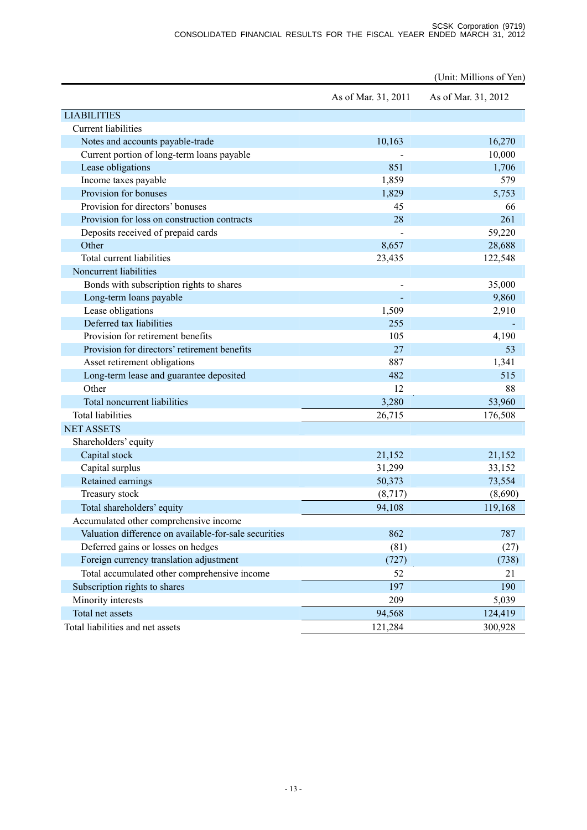|                                                       |                     | (Unit: Millions of Yen) |
|-------------------------------------------------------|---------------------|-------------------------|
|                                                       | As of Mar. 31, 2011 | As of Mar. 31, 2012     |
| <b>LIABILITIES</b>                                    |                     |                         |
| <b>Current liabilities</b>                            |                     |                         |
| Notes and accounts payable-trade                      | 10,163              | 16,270                  |
| Current portion of long-term loans payable            |                     | 10,000                  |
| Lease obligations                                     | 851                 | 1,706                   |
| Income taxes payable                                  | 1,859               | 579                     |
| Provision for bonuses                                 | 1,829               | 5,753                   |
| Provision for directors' bonuses                      | 45                  | 66                      |
| Provision for loss on construction contracts          | 28                  | 261                     |
| Deposits received of prepaid cards                    |                     | 59,220                  |
| Other                                                 | 8,657               | 28,688                  |
| Total current liabilities                             | 23,435              | 122,548                 |
| Noncurrent liabilities                                |                     |                         |
| Bonds with subscription rights to shares              |                     | 35,000                  |
| Long-term loans payable                               |                     | 9,860                   |
| Lease obligations                                     | 1,509               | 2,910                   |
| Deferred tax liabilities                              | 255                 |                         |
| Provision for retirement benefits                     | 105                 | 4,190                   |
| Provision for directors' retirement benefits          | 27                  | 53                      |
| Asset retirement obligations                          | 887                 | 1,341                   |
| Long-term lease and guarantee deposited               | 482                 | 515                     |
| Other                                                 | 12                  | 88                      |
| Total noncurrent liabilities                          | 3,280               | 53,960                  |
| <b>Total liabilities</b>                              | 26,715              | 176,508                 |
| <b>NET ASSETS</b>                                     |                     |                         |
| Shareholders' equity                                  |                     |                         |
| Capital stock                                         | 21,152              | 21,152                  |
| Capital surplus                                       | 31,299              | 33,152                  |
| Retained earnings                                     | 50,373              | 73,554                  |
| Treasury stock                                        | (8,717)             | (8,690)                 |
| Total shareholders' equity                            | 94,108              | 119,168                 |
| Accumulated other comprehensive income                |                     |                         |
| Valuation difference on available-for-sale securities | 862                 | 787                     |
| Deferred gains or losses on hedges                    | (81)                | (27)                    |
| Foreign currency translation adjustment               | (727)               | (738)                   |
| Total accumulated other comprehensive income          | 52                  | 21                      |
| Subscription rights to shares                         | 197                 | 190                     |
| Minority interests                                    | 209                 | 5,039                   |
| Total net assets                                      | 94,568              | 124,419                 |
| Total liabilities and net assets                      | 121,284             | 300,928                 |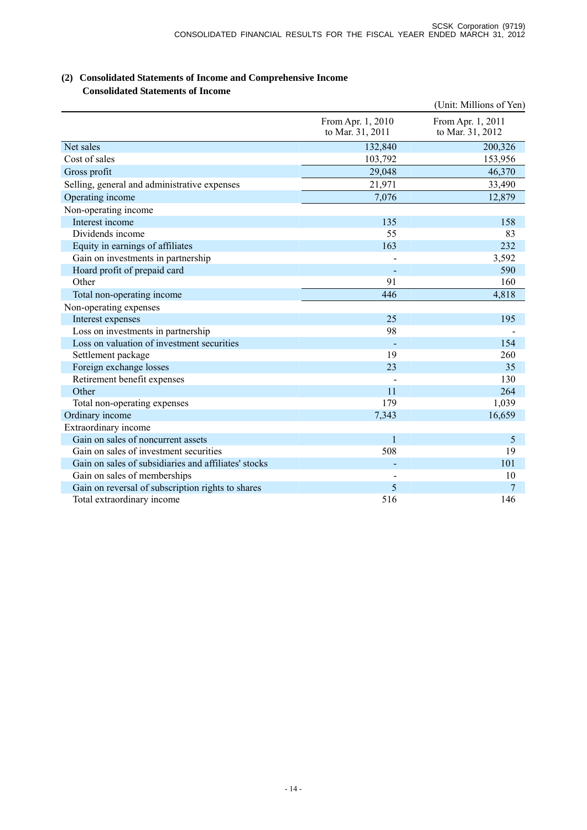# **(2) Consolidated Statements of Income and Comprehensive Income Consolidated Statements of Income**

|                                                      |                                       | (Unit: Millions of Yen)               |
|------------------------------------------------------|---------------------------------------|---------------------------------------|
|                                                      | From Apr. 1, 2010<br>to Mar. 31, 2011 | From Apr. 1, 2011<br>to Mar. 31, 2012 |
| Net sales                                            | 132,840                               | 200,326                               |
| Cost of sales                                        | 103,792                               | 153,956                               |
| Gross profit                                         | 29,048                                | 46,370                                |
| Selling, general and administrative expenses         | 21,971                                | 33,490                                |
| Operating income                                     | 7,076                                 | 12,879                                |
| Non-operating income                                 |                                       |                                       |
| Interest income                                      | 135                                   | 158                                   |
| Dividends income                                     | 55                                    | 83                                    |
| Equity in earnings of affiliates                     | 163                                   | 232                                   |
| Gain on investments in partnership                   |                                       | 3,592                                 |
| Hoard profit of prepaid card                         |                                       | 590                                   |
| Other                                                | 91                                    | 160                                   |
| Total non-operating income                           | 446                                   | 4,818                                 |
| Non-operating expenses                               |                                       |                                       |
| Interest expenses                                    | 25                                    | 195                                   |
| Loss on investments in partnership                   | 98                                    |                                       |
| Loss on valuation of investment securities           |                                       | 154                                   |
| Settlement package                                   | 19                                    | 260                                   |
| Foreign exchange losses                              | 23                                    | 35                                    |
| Retirement benefit expenses                          |                                       | 130                                   |
| Other                                                | 11                                    | 264                                   |
| Total non-operating expenses                         | 179                                   | 1,039                                 |
| Ordinary income                                      | 7,343                                 | 16,659                                |
| Extraordinary income                                 |                                       |                                       |
| Gain on sales of noncurrent assets                   | $\mathbf{1}$                          | 5                                     |
| Gain on sales of investment securities               | 508                                   | 19                                    |
| Gain on sales of subsidiaries and affiliates' stocks |                                       | 101                                   |
| Gain on sales of memberships                         |                                       | 10                                    |
| Gain on reversal of subscription rights to shares    | 5                                     | 7                                     |
| Total extraordinary income                           | 516                                   | 146                                   |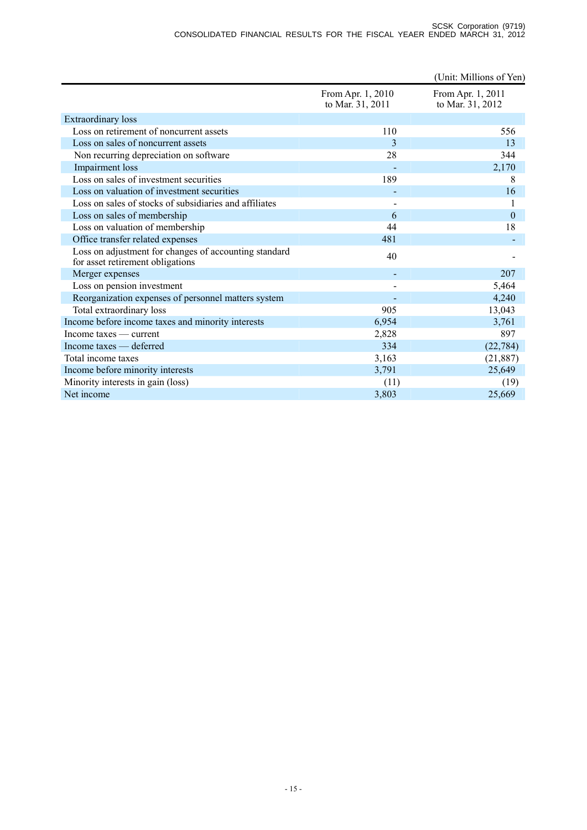#### SCSK Corporation (9719) CONSOLIDATED FINANCIAL RESULTS FOR THE FISCAL YEAER ENDED MARCH 31, 2012

|                                                                                           |                                       | (Unit: Millions of Yen)               |
|-------------------------------------------------------------------------------------------|---------------------------------------|---------------------------------------|
|                                                                                           | From Apr. 1, 2010<br>to Mar. 31, 2011 | From Apr. 1, 2011<br>to Mar. 31, 2012 |
| <b>Extraordinary loss</b>                                                                 |                                       |                                       |
| Loss on retirement of noncurrent assets                                                   | 110                                   | 556                                   |
| Loss on sales of noncurrent assets                                                        | 3                                     | 13                                    |
| Non recurring depreciation on software                                                    | 28                                    | 344                                   |
| Impairment loss                                                                           |                                       | 2,170                                 |
| Loss on sales of investment securities                                                    | 189                                   | 8                                     |
| Loss on valuation of investment securities                                                |                                       | 16                                    |
| Loss on sales of stocks of subsidiaries and affiliates                                    |                                       | 1                                     |
| Loss on sales of membership                                                               | 6                                     | $\theta$                              |
| Loss on valuation of membership                                                           | 44                                    | 18                                    |
| Office transfer related expenses                                                          | 481                                   |                                       |
| Loss on adjustment for changes of accounting standard<br>for asset retirement obligations | 40                                    |                                       |
| Merger expenses                                                                           |                                       | 207                                   |
| Loss on pension investment                                                                |                                       | 5,464                                 |
| Reorganization expenses of personnel matters system                                       |                                       | 4,240                                 |
| Total extraordinary loss                                                                  | 905                                   | 13,043                                |
| Income before income taxes and minority interests                                         | 6,954                                 | 3,761                                 |
| Income taxes — current                                                                    | 2,828                                 | 897                                   |
| Income taxes — deferred                                                                   | 334                                   | (22, 784)                             |
| Total income taxes                                                                        | 3,163                                 | (21, 887)                             |
| Income before minority interests                                                          | 3,791                                 | 25,649                                |
| Minority interests in gain (loss)                                                         | (11)                                  | (19)                                  |
| Net income                                                                                | 3,803                                 | 25,669                                |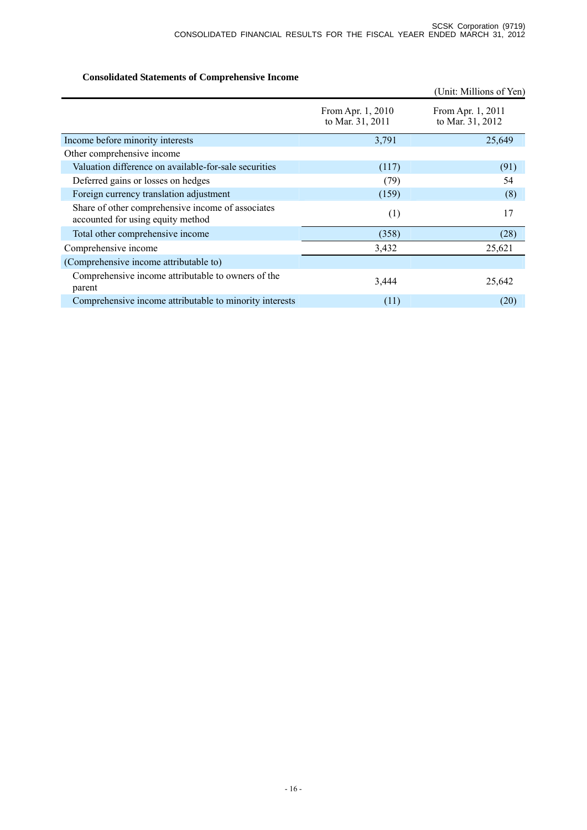# **Consolidated Statements of Comprehensive Income**

|                                                                                        |                                       | (Unit: Millions of Yen)               |
|----------------------------------------------------------------------------------------|---------------------------------------|---------------------------------------|
|                                                                                        | From Apr. 1, 2010<br>to Mar. 31, 2011 | From Apr. 1, 2011<br>to Mar. 31, 2012 |
| Income before minority interests                                                       | 3,791                                 | 25,649                                |
| Other comprehensive income                                                             |                                       |                                       |
| Valuation difference on available-for-sale securities                                  | (117)                                 | (91)                                  |
| Deferred gains or losses on hedges                                                     | (79)                                  | 54                                    |
| Foreign currency translation adjustment                                                | (159)                                 | (8)                                   |
| Share of other comprehensive income of associates<br>accounted for using equity method | (1)                                   | 17                                    |
| Total other comprehensive income                                                       | (358)                                 | (28)                                  |
| Comprehensive income                                                                   | 3,432                                 | 25,621                                |
| (Comprehensive income attributable to)                                                 |                                       |                                       |
| Comprehensive income attributable to owners of the<br>parent                           | 3,444                                 | 25,642                                |
| Comprehensive income attributable to minority interests                                | (11)                                  | (20)                                  |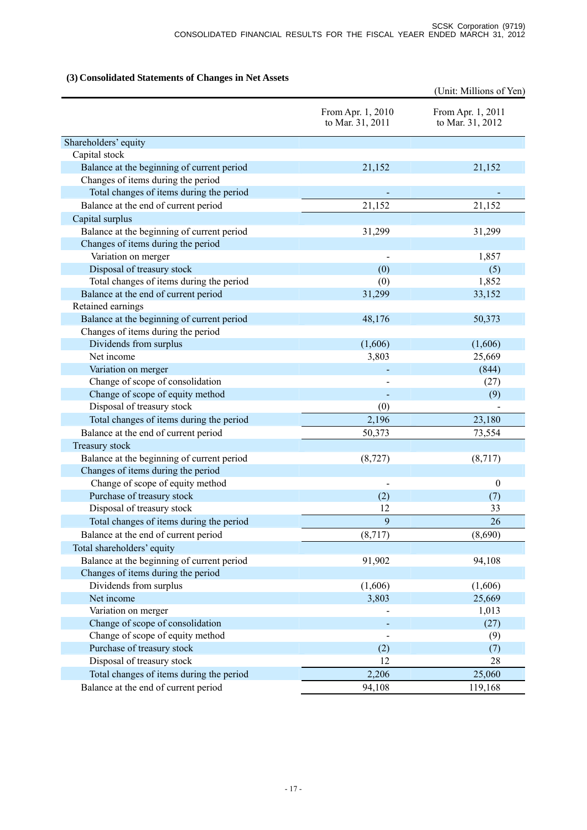# **(3) Consolidated Statements of Changes in Net Assets**

|                                                          | (Unit: Millions of Yen)               |                                       |
|----------------------------------------------------------|---------------------------------------|---------------------------------------|
|                                                          | From Apr. 1, 2010<br>to Mar. 31, 2011 | From Apr. 1, 2011<br>to Mar. 31, 2012 |
| Shareholders' equity                                     |                                       |                                       |
| Capital stock                                            |                                       |                                       |
| Balance at the beginning of current period               | 21,152                                | 21,152                                |
| Changes of items during the period                       |                                       |                                       |
| Total changes of items during the period                 |                                       |                                       |
| Balance at the end of current period                     | 21,152                                | 21,152                                |
| Capital surplus                                          |                                       |                                       |
| Balance at the beginning of current period               | 31,299                                | 31,299                                |
| Changes of items during the period                       |                                       |                                       |
| Variation on merger                                      |                                       | 1,857                                 |
| Disposal of treasury stock                               | (0)                                   | (5)                                   |
| Total changes of items during the period                 | (0)                                   | 1,852                                 |
| Balance at the end of current period                     | 31,299                                | 33,152                                |
| Retained earnings                                        |                                       |                                       |
| Balance at the beginning of current period               | 48,176                                | 50,373                                |
| Changes of items during the period                       |                                       |                                       |
| Dividends from surplus                                   | (1,606)                               | (1,606)                               |
| Net income                                               | 3,803                                 | 25,669                                |
| Variation on merger                                      |                                       | (844)                                 |
| Change of scope of consolidation                         |                                       | (27)                                  |
| Change of scope of equity method                         |                                       | (9)                                   |
| Disposal of treasury stock                               | (0)                                   |                                       |
| Total changes of items during the period                 | 2,196                                 | 23,180                                |
| Balance at the end of current period                     | 50,373                                | 73,554                                |
| Treasury stock                                           |                                       |                                       |
| Balance at the beginning of current period               | (8, 727)                              | (8,717)                               |
| Changes of items during the period                       |                                       |                                       |
| Change of scope of equity method                         |                                       | $\boldsymbol{0}$                      |
| Purchase of treasury stock<br>Disposal of treasury stock | (2)<br>12                             | (7)<br>33                             |
| Total changes of items during the period                 | 9                                     | 26                                    |
|                                                          |                                       |                                       |
| Balance at the end of current period                     | (8,717)                               | (8,690)                               |
| Total shareholders' equity                               |                                       |                                       |
| Balance at the beginning of current period               | 91,902                                | 94,108                                |
| Changes of items during the period                       |                                       |                                       |
| Dividends from surplus<br>Net income                     | (1,606)<br>3,803                      | (1,606)<br>25,669                     |
| Variation on merger                                      |                                       | 1,013                                 |
| Change of scope of consolidation                         |                                       | (27)                                  |
| Change of scope of equity method                         |                                       | (9)                                   |
| Purchase of treasury stock                               | (2)                                   | (7)                                   |
| Disposal of treasury stock                               | 12                                    | 28                                    |
| Total changes of items during the period                 | 2,206                                 | 25,060                                |
| Balance at the end of current period                     | 94,108                                | 119,168                               |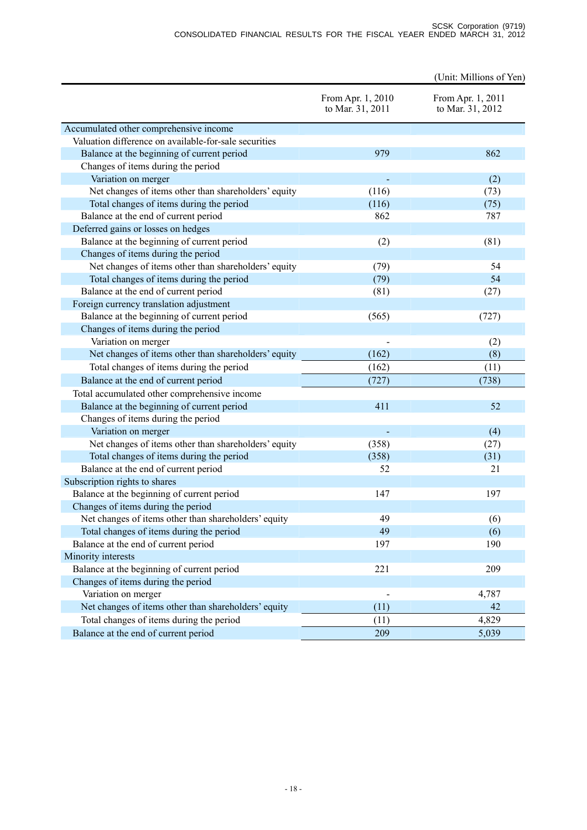|                                                       |                                       | (Unit: Millions of Yen)               |
|-------------------------------------------------------|---------------------------------------|---------------------------------------|
|                                                       | From Apr. 1, 2010<br>to Mar. 31, 2011 | From Apr. 1, 2011<br>to Mar. 31, 2012 |
| Accumulated other comprehensive income                |                                       |                                       |
| Valuation difference on available-for-sale securities |                                       |                                       |
| Balance at the beginning of current period            | 979                                   | 862                                   |
| Changes of items during the period                    |                                       |                                       |
| Variation on merger                                   |                                       | (2)                                   |
| Net changes of items other than shareholders' equity  | (116)                                 | (73)                                  |
| Total changes of items during the period              | (116)                                 | (75)                                  |
| Balance at the end of current period                  | 862                                   | 787                                   |
| Deferred gains or losses on hedges                    |                                       |                                       |
| Balance at the beginning of current period            | (2)                                   | (81)                                  |
| Changes of items during the period                    |                                       |                                       |
| Net changes of items other than shareholders' equity  | (79)                                  | 54                                    |
| Total changes of items during the period              | (79)                                  | 54                                    |
| Balance at the end of current period                  | (81)                                  | (27)                                  |
| Foreign currency translation adjustment               |                                       |                                       |
| Balance at the beginning of current period            | (565)                                 | (727)                                 |
| Changes of items during the period                    |                                       |                                       |
| Variation on merger                                   |                                       | (2)                                   |
| Net changes of items other than shareholders' equity  | (162)                                 | (8)                                   |
| Total changes of items during the period              | (162)                                 | (11)                                  |
| Balance at the end of current period                  | (727)                                 | (738)                                 |
| Total accumulated other comprehensive income          |                                       |                                       |
| Balance at the beginning of current period            | 411                                   | 52                                    |
| Changes of items during the period                    |                                       |                                       |
| Variation on merger                                   |                                       | (4)                                   |
| Net changes of items other than shareholders' equity  | (358)                                 | (27)                                  |
| Total changes of items during the period              | (358)                                 | (31)                                  |
| Balance at the end of current period                  | 52                                    | 21                                    |
| Subscription rights to shares                         |                                       |                                       |
| Balance at the beginning of current period            | 147                                   | 197                                   |
| Changes of items during the period                    |                                       |                                       |
| Net changes of items other than shareholders' equity  | 49                                    | (6)                                   |
| Total changes of items during the period              | 49                                    | (6)                                   |
| Balance at the end of current period                  | 197                                   | 190                                   |
| Minority interests                                    |                                       |                                       |
| Balance at the beginning of current period            | 221                                   | 209                                   |
| Changes of items during the period                    |                                       |                                       |
| Variation on merger                                   |                                       | 4,787                                 |
| Net changes of items other than shareholders' equity  | (11)                                  | 42                                    |
| Total changes of items during the period              | (11)                                  | 4,829                                 |
| Balance at the end of current period                  | 209                                   | 5,039                                 |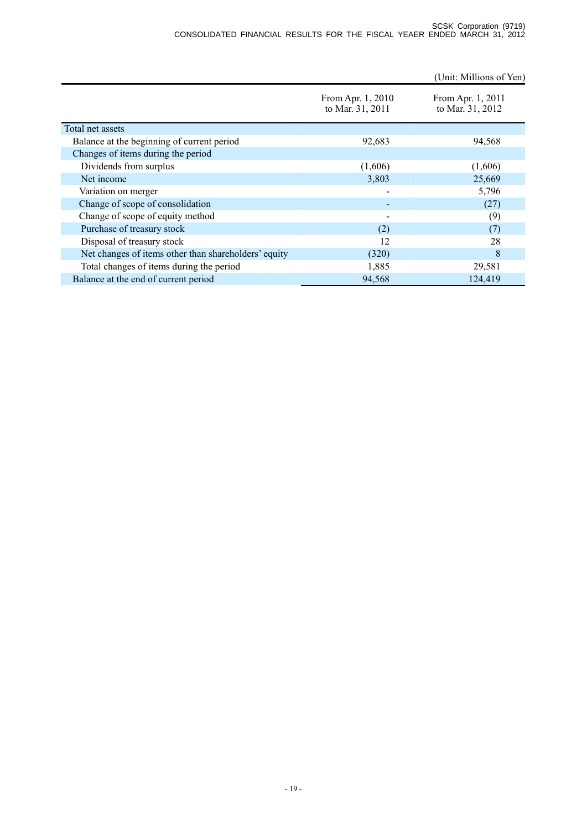(Unit: Millions of Yen)

|                                                      | From Apr. 1, 2010<br>to Mar. 31, 2011 | From Apr. 1, 2011<br>to Mar. 31, 2012 |
|------------------------------------------------------|---------------------------------------|---------------------------------------|
| Total net assets                                     |                                       |                                       |
| Balance at the beginning of current period           | 92,683                                | 94,568                                |
| Changes of items during the period                   |                                       |                                       |
| Dividends from surplus                               | (1,606)                               | (1,606)                               |
| Net income                                           | 3,803                                 | 25,669                                |
| Variation on merger                                  | $\overline{\phantom{0}}$              | 5,796                                 |
| Change of scope of consolidation                     |                                       | (27)                                  |
| Change of scope of equity method                     |                                       | (9)                                   |
| Purchase of treasury stock                           | (2)                                   | (7)                                   |
| Disposal of treasury stock                           | 12                                    | 28                                    |
| Net changes of items other than shareholders' equity | (320)                                 | 8                                     |
| Total changes of items during the period             | 1,885                                 | 29,581                                |
| Balance at the end of current period                 | 94,568                                | 124,419                               |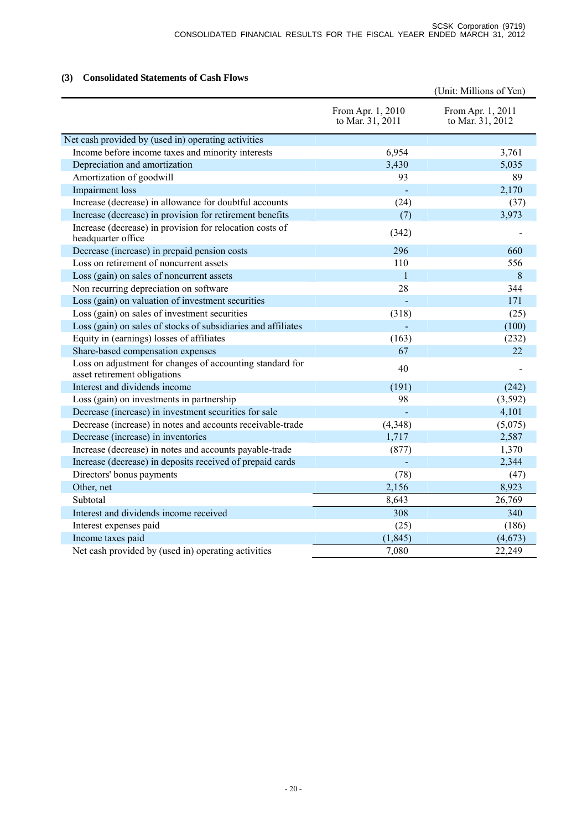# **(3) Consolidated Statements of Cash Flows**

|                                                                                           |                                       | (Unit: Millions of Yen)               |
|-------------------------------------------------------------------------------------------|---------------------------------------|---------------------------------------|
|                                                                                           | From Apr. 1, 2010<br>to Mar. 31, 2011 | From Apr. 1, 2011<br>to Mar. 31, 2012 |
| Net cash provided by (used in) operating activities                                       |                                       |                                       |
| Income before income taxes and minority interests                                         | 6,954                                 | 3,761                                 |
| Depreciation and amortization                                                             | 3,430                                 | 5,035                                 |
| Amortization of goodwill                                                                  | 93                                    | 89                                    |
| Impairment loss                                                                           |                                       | 2,170                                 |
| Increase (decrease) in allowance for doubtful accounts                                    | (24)                                  | (37)                                  |
| Increase (decrease) in provision for retirement benefits                                  | (7)                                   | 3,973                                 |
| Increase (decrease) in provision for relocation costs of<br>headquarter office            | (342)                                 |                                       |
| Decrease (increase) in prepaid pension costs                                              | 296                                   | 660                                   |
| Loss on retirement of noncurrent assets                                                   | 110                                   | 556                                   |
| Loss (gain) on sales of noncurrent assets                                                 | $\mathbf{1}$                          | 8                                     |
| Non recurring depreciation on software                                                    | 28                                    | 344                                   |
| Loss (gain) on valuation of investment securities                                         |                                       | 171                                   |
| Loss (gain) on sales of investment securities                                             | (318)                                 | (25)                                  |
| Loss (gain) on sales of stocks of subsidiaries and affiliates                             |                                       | (100)                                 |
| Equity in (earnings) losses of affiliates                                                 | (163)                                 | (232)                                 |
| Share-based compensation expenses                                                         | 67                                    | 22                                    |
| Loss on adjustment for changes of accounting standard for<br>asset retirement obligations | 40                                    |                                       |
| Interest and dividends income                                                             | (191)                                 | (242)                                 |
| Loss (gain) on investments in partnership                                                 | 98                                    | (3, 592)                              |
| Decrease (increase) in investment securities for sale                                     |                                       | 4,101                                 |
| Decrease (increase) in notes and accounts receivable-trade                                | (4, 348)                              | (5,075)                               |
| Decrease (increase) in inventories                                                        | 1,717                                 | 2,587                                 |
| Increase (decrease) in notes and accounts payable-trade                                   | (877)                                 | 1,370                                 |
| Increase (decrease) in deposits received of prepaid cards                                 |                                       | 2,344                                 |
| Directors' bonus payments                                                                 | (78)                                  | (47)                                  |
| Other, net                                                                                | 2,156                                 | 8,923                                 |
| Subtotal                                                                                  | 8,643                                 | 26,769                                |
| Interest and dividends income received                                                    | 308                                   | 340                                   |
| Interest expenses paid                                                                    | (25)                                  | (186)                                 |
| Income taxes paid                                                                         | (1, 845)                              | (4,673)                               |
| Net cash provided by (used in) operating activities                                       | 7,080                                 | 22,249                                |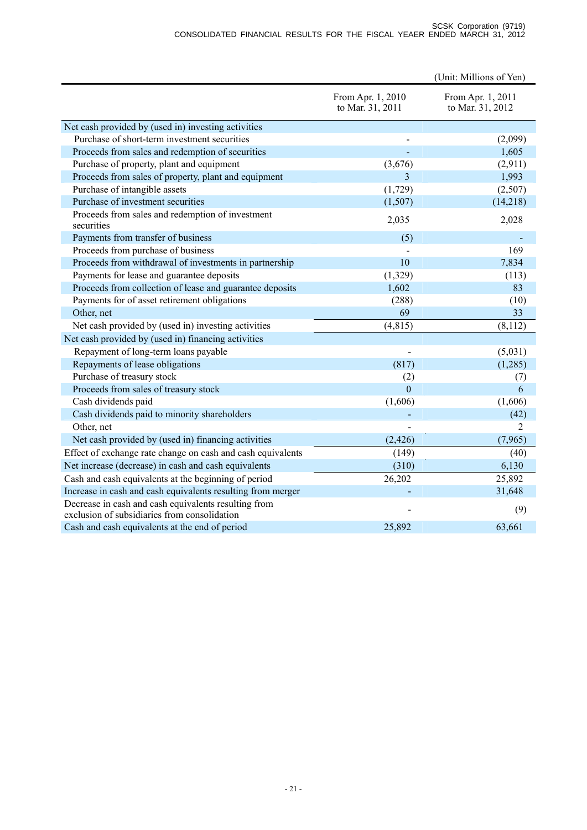|                                                                                                      |                                       | (Unit: Millions of Yen)               |
|------------------------------------------------------------------------------------------------------|---------------------------------------|---------------------------------------|
|                                                                                                      | From Apr. 1, 2010<br>to Mar. 31, 2011 | From Apr. 1, 2011<br>to Mar. 31, 2012 |
| Net cash provided by (used in) investing activities                                                  |                                       |                                       |
| Purchase of short-term investment securities                                                         |                                       | (2,099)                               |
| Proceeds from sales and redemption of securities                                                     |                                       | 1,605                                 |
| Purchase of property, plant and equipment                                                            | (3,676)                               | (2,911)                               |
| Proceeds from sales of property, plant and equipment                                                 | 3                                     | 1,993                                 |
| Purchase of intangible assets                                                                        | (1,729)                               | (2,507)                               |
| Purchase of investment securities                                                                    | (1,507)                               | (14,218)                              |
| Proceeds from sales and redemption of investment<br>securities                                       | 2,035                                 | 2,028                                 |
| Payments from transfer of business                                                                   | (5)                                   |                                       |
| Proceeds from purchase of business                                                                   |                                       | 169                                   |
| Proceeds from withdrawal of investments in partnership                                               | 10                                    | 7,834                                 |
| Payments for lease and guarantee deposits                                                            | (1,329)                               | (113)                                 |
| Proceeds from collection of lease and guarantee deposits                                             | 1,602                                 | 83                                    |
| Payments for of asset retirement obligations                                                         | (288)                                 | (10)                                  |
| Other, net                                                                                           | 69                                    | 33                                    |
| Net cash provided by (used in) investing activities                                                  | (4, 815)                              | (8,112)                               |
| Net cash provided by (used in) financing activities                                                  |                                       |                                       |
| Repayment of long-term loans payable                                                                 |                                       | (5,031)                               |
| Repayments of lease obligations                                                                      | (817)                                 | (1,285)                               |
| Purchase of treasury stock                                                                           | (2)                                   | (7)                                   |
| Proceeds from sales of treasury stock                                                                | $\overline{0}$                        | 6                                     |
| Cash dividends paid                                                                                  | (1,606)                               | (1,606)                               |
| Cash dividends paid to minority shareholders                                                         |                                       | (42)                                  |
| Other, net                                                                                           |                                       | $\overline{2}$                        |
| Net cash provided by (used in) financing activities                                                  | (2, 426)                              | (7,965)                               |
| Effect of exchange rate change on cash and cash equivalents                                          | (149)                                 | (40)                                  |
| Net increase (decrease) in cash and cash equivalents                                                 | (310)                                 | 6,130                                 |
| Cash and cash equivalents at the beginning of period                                                 | 26,202                                | 25,892                                |
| Increase in cash and cash equivalents resulting from merger                                          |                                       | 31,648                                |
| Decrease in cash and cash equivalents resulting from<br>exclusion of subsidiaries from consolidation |                                       | (9)                                   |
| Cash and cash equivalents at the end of period                                                       | 25,892                                | 63,661                                |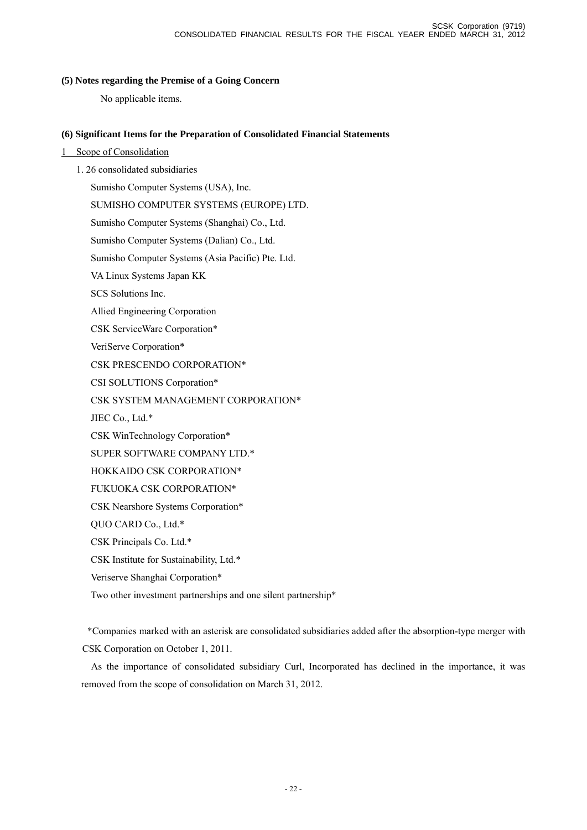## **(5) Notes regarding the Premise of a Going Concern**

No applicable items.

## **(6) Significant Items for the Preparation of Consolidated Financial Statements**

- 1 Scope of Consolidation
	- 1. 26 consolidated subsidiaries

Sumisho Computer Systems (USA), Inc.

SUMISHO COMPUTER SYSTEMS (EUROPE) LTD.

Sumisho Computer Systems (Shanghai) Co., Ltd.

Sumisho Computer Systems (Dalian) Co., Ltd.

Sumisho Computer Systems (Asia Pacific) Pte. Ltd.

VA Linux Systems Japan KK

SCS Solutions Inc.

Allied Engineering Corporation

CSK ServiceWare Corporation\*

VeriServe Corporation\*

CSK PRESCENDO CORPORATION\*

CSI SOLUTIONS Corporation\*

CSK SYSTEM MANAGEMENT CORPORATION\*

JIEC Co., Ltd.\*

CSK WinTechnology Corporation\*

SUPER SOFTWARE COMPANY LTD.\*

HOKKAIDO CSK CORPORATION\*

FUKUOKA CSK CORPORATION\*

CSK Nearshore Systems Corporation\*

QUO CARD Co., Ltd.\*

CSK Principals Co. Ltd.\*

CSK Institute for Sustainability, Ltd.\*

Veriserve Shanghai Corporation\*

Two other investment partnerships and one silent partnership\*

\*Companies marked with an asterisk are consolidated subsidiaries added after the absorption-type merger with CSK Corporation on October 1, 2011.

As the importance of consolidated subsidiary Curl, Incorporated has declined in the importance, it was removed from the scope of consolidation on March 31, 2012.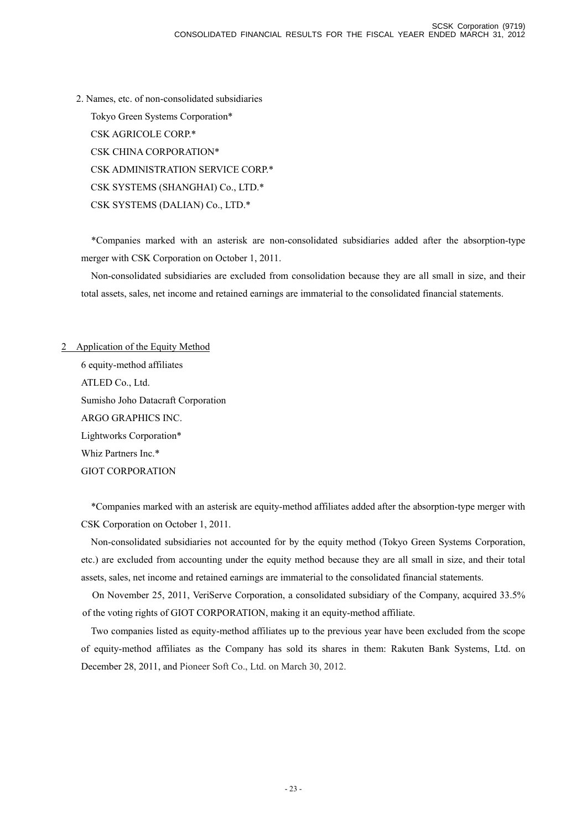2. Names, etc. of non-consolidated subsidiaries Tokyo Green Systems Corporation\* CSK AGRICOLE CORP.\* CSK CHINA CORPORATION\* CSK ADMINISTRATION SERVICE CORP.\* CSK SYSTEMS (SHANGHAI) Co., LTD.\* CSK SYSTEMS (DALIAN) Co., LTD.\*

\*Companies marked with an asterisk are non-consolidated subsidiaries added after the absorption-type merger with CSK Corporation on October 1, 2011.

Non-consolidated subsidiaries are excluded from consolidation because they are all small in size, and their total assets, sales, net income and retained earnings are immaterial to the consolidated financial statements.

# 2 Application of the Equity Method 6 equity-method affiliates ATLED Co., Ltd. Sumisho Joho Datacraft Corporation ARGO GRAPHICS INC. Lightworks Corporation\* Whiz Partners Inc.\* GIOT CORPORATION

\*Companies marked with an asterisk are equity-method affiliates added after the absorption-type merger with CSK Corporation on October 1, 2011.

Non-consolidated subsidiaries not accounted for by the equity method (Tokyo Green Systems Corporation, etc.) are excluded from accounting under the equity method because they are all small in size, and their total assets, sales, net income and retained earnings are immaterial to the consolidated financial statements.

On November 25, 2011, VeriServe Corporation, a consolidated subsidiary of the Company, acquired 33.5% of the voting rights of GIOT CORPORATION, making it an equity-method affiliate.

Two companies listed as equity-method affiliates up to the previous year have been excluded from the scope of equity-method affiliates as the Company has sold its shares in them: Rakuten Bank Systems, Ltd. on December 28, 2011, and Pioneer Soft Co., Ltd. on March 30, 2012.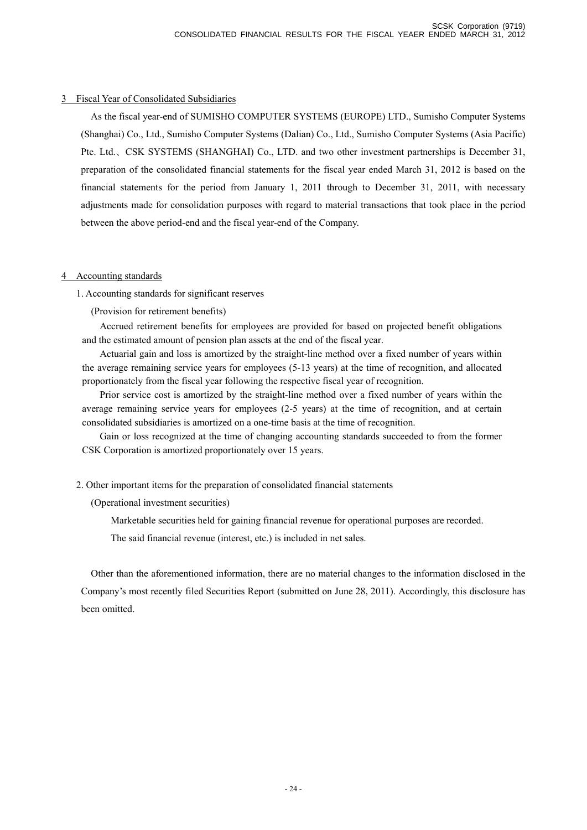## 3 Fiscal Year of Consolidated Subsidiaries

As the fiscal year-end of SUMISHO COMPUTER SYSTEMS (EUROPE) LTD., Sumisho Computer Systems (Shanghai) Co., Ltd., Sumisho Computer Systems (Dalian) Co., Ltd., Sumisho Computer Systems (Asia Pacific) Pte. Ltd., CSK SYSTEMS (SHANGHAI) Co., LTD. and two other investment partnerships is December 31, preparation of the consolidated financial statements for the fiscal year ended March 31, 2012 is based on the financial statements for the period from January 1, 2011 through to December 31, 2011, with necessary adjustments made for consolidation purposes with regard to material transactions that took place in the period between the above period-end and the fiscal year-end of the Company.

## 4 Accounting standards

1. Accounting standards for significant reserves

(Provision for retirement benefits)

Accrued retirement benefits for employees are provided for based on projected benefit obligations and the estimated amount of pension plan assets at the end of the fiscal year.

Actuarial gain and loss is amortized by the straight-line method over a fixed number of years within the average remaining service years for employees (5-13 years) at the time of recognition, and allocated proportionately from the fiscal year following the respective fiscal year of recognition.

Prior service cost is amortized by the straight-line method over a fixed number of years within the average remaining service years for employees (2-5 years) at the time of recognition, and at certain consolidated subsidiaries is amortized on a one-time basis at the time of recognition.

Gain or loss recognized at the time of changing accounting standards succeeded to from the former CSK Corporation is amortized proportionately over 15 years.

# 2. Other important items for the preparation of consolidated financial statements

(Operational investment securities)

Marketable securities held for gaining financial revenue for operational purposes are recorded.

The said financial revenue (interest, etc.) is included in net sales.

Other than the aforementioned information, there are no material changes to the information disclosed in the Company's most recently filed Securities Report (submitted on June 28, 2011). Accordingly, this disclosure has been omitted.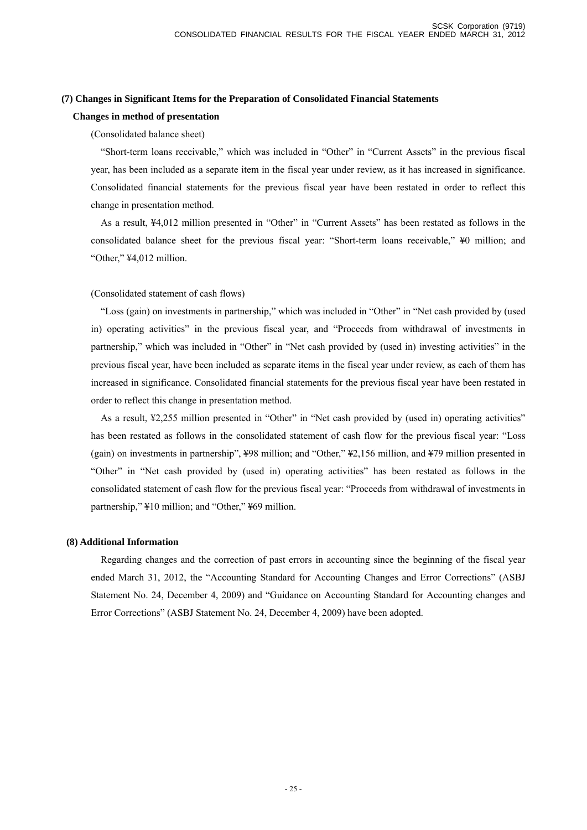### **(7) Changes in Significant Items for the Preparation of Consolidated Financial Statements**

### **Changes in method of presentation**

### (Consolidated balance sheet)

"Short-term loans receivable," which was included in "Other" in "Current Assets" in the previous fiscal year, has been included as a separate item in the fiscal year under review, as it has increased in significance. Consolidated financial statements for the previous fiscal year have been restated in order to reflect this change in presentation method.

As a result, ¥4,012 million presented in "Other" in "Current Assets" has been restated as follows in the consolidated balance sheet for the previous fiscal year: "Short-term loans receivable," ¥0 million; and "Other," ¥4,012 million.

### (Consolidated statement of cash flows)

"Loss (gain) on investments in partnership," which was included in "Other" in "Net cash provided by (used in) operating activities" in the previous fiscal year, and "Proceeds from withdrawal of investments in partnership," which was included in "Other" in "Net cash provided by (used in) investing activities" in the previous fiscal year, have been included as separate items in the fiscal year under review, as each of them has increased in significance. Consolidated financial statements for the previous fiscal year have been restated in order to reflect this change in presentation method.

As a result, ¥2,255 million presented in "Other" in "Net cash provided by (used in) operating activities" has been restated as follows in the consolidated statement of cash flow for the previous fiscal year: "Loss (gain) on investments in partnership", ¥98 million; and "Other," ¥2,156 million, and ¥79 million presented in "Other" in "Net cash provided by (used in) operating activities" has been restated as follows in the consolidated statement of cash flow for the previous fiscal year: "Proceeds from withdrawal of investments in partnership," ¥10 million; and "Other," ¥69 million.

### **(8) Additional Information**

Regarding changes and the correction of past errors in accounting since the beginning of the fiscal year ended March 31, 2012, the "Accounting Standard for Accounting Changes and Error Corrections" (ASBJ Statement No. 24, December 4, 2009) and "Guidance on Accounting Standard for Accounting changes and Error Corrections" (ASBJ Statement No. 24, December 4, 2009) have been adopted.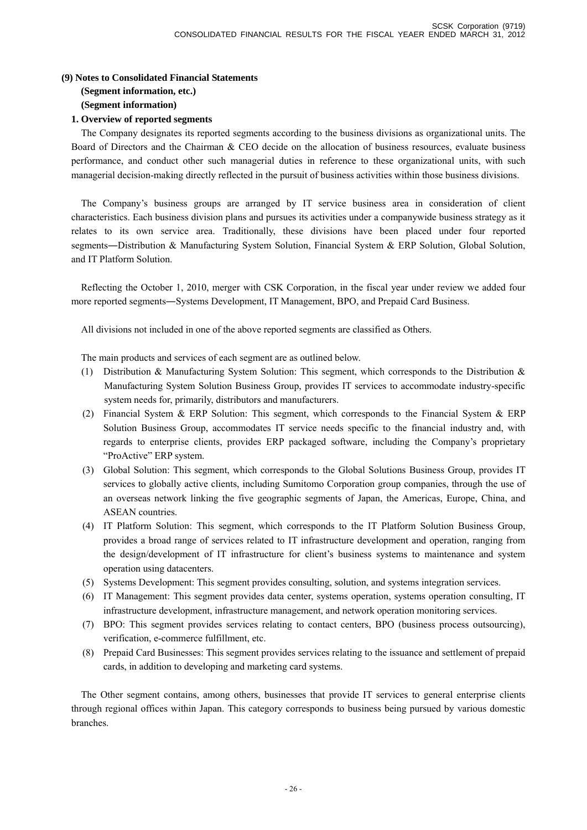## **(9) Notes to Consolidated Financial Statements (Segment information, etc.)**

**(Segment information)** 

# **1. Overview of reported segments**

The Company designates its reported segments according to the business divisions as organizational units. The Board of Directors and the Chairman & CEO decide on the allocation of business resources, evaluate business performance, and conduct other such managerial duties in reference to these organizational units, with such managerial decision-making directly reflected in the pursuit of business activities within those business divisions.

The Company's business groups are arranged by IT service business area in consideration of client characteristics. Each business division plans and pursues its activities under a companywide business strategy as it relates to its own service area. Traditionally, these divisions have been placed under four reported segments—Distribution & Manufacturing System Solution, Financial System & ERP Solution, Global Solution, and IT Platform Solution.

Reflecting the October 1, 2010, merger with CSK Corporation, in the fiscal year under review we added four more reported segments―Systems Development, IT Management, BPO, and Prepaid Card Business.

All divisions not included in one of the above reported segments are classified as Others.

The main products and services of each segment are as outlined below.

- (1) Distribution & Manufacturing System Solution: This segment, which corresponds to the Distribution & Manufacturing System Solution Business Group, provides IT services to accommodate industry-specific system needs for, primarily, distributors and manufacturers.
- (2) Financial System & ERP Solution: This segment, which corresponds to the Financial System & ERP Solution Business Group, accommodates IT service needs specific to the financial industry and, with regards to enterprise clients, provides ERP packaged software, including the Company's proprietary "ProActive" ERP system.
- (3) Global Solution: This segment, which corresponds to the Global Solutions Business Group, provides IT services to globally active clients, including Sumitomo Corporation group companies, through the use of an overseas network linking the five geographic segments of Japan, the Americas, Europe, China, and ASEAN countries.
- (4) IT Platform Solution: This segment, which corresponds to the IT Platform Solution Business Group, provides a broad range of services related to IT infrastructure development and operation, ranging from the design/development of IT infrastructure for client's business systems to maintenance and system operation using datacenters.
- (5) Systems Development: This segment provides consulting, solution, and systems integration services.
- (6) IT Management: This segment provides data center, systems operation, systems operation consulting, IT infrastructure development, infrastructure management, and network operation monitoring services.
- (7) BPO: This segment provides services relating to contact centers, BPO (business process outsourcing), verification, e-commerce fulfillment, etc.
- (8) Prepaid Card Businesses: This segment provides services relating to the issuance and settlement of prepaid cards, in addition to developing and marketing card systems.

The Other segment contains, among others, businesses that provide IT services to general enterprise clients through regional offices within Japan. This category corresponds to business being pursued by various domestic branches.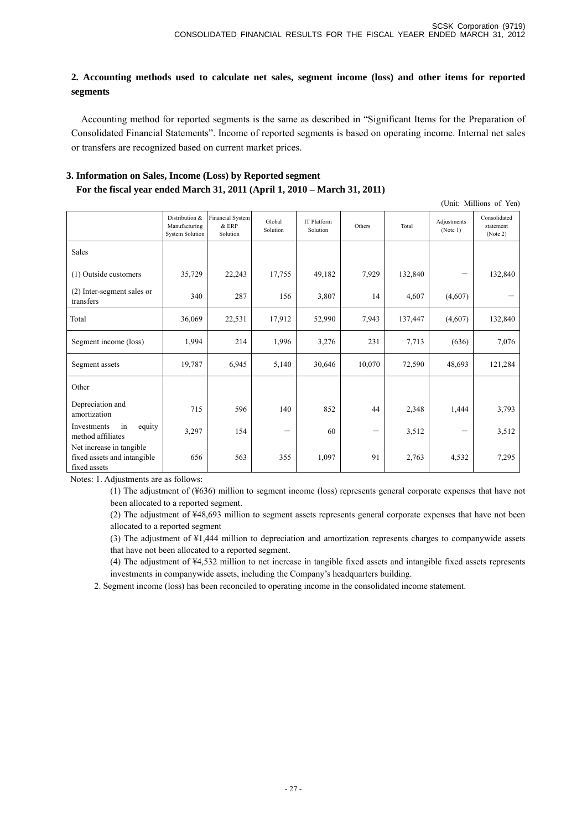# **2. Accounting methods used to calculate net sales, segment income (loss) and other items for reported segments**

Accounting method for reported segments is the same as described in "Significant Items for the Preparation of Consolidated Financial Statements". Income of reported segments is based on operating income. Internal net sales or transfers are recognized based on current market prices.

# **3. Information on Sales, Income (Loss) by Reported segment For the fiscal year ended March 31, 2011 (April 1, 2010 – March 31, 2011)**

|                                                                         |                                                           |                                              |                    |                         |                 |         |                         | (Unit: Millions of Yen)               |
|-------------------------------------------------------------------------|-----------------------------------------------------------|----------------------------------------------|--------------------|-------------------------|-----------------|---------|-------------------------|---------------------------------------|
|                                                                         | Distribution &<br>Manufacturing<br><b>System Solution</b> | <b>Financial System</b><br>& ERP<br>Solution | Global<br>Solution | IT Platform<br>Solution | Others          | Total   | Adjustments<br>(Note 1) | Consolidated<br>statement<br>(Note 2) |
| Sales                                                                   |                                                           |                                              |                    |                         |                 |         |                         |                                       |
| (1) Outside customers                                                   | 35,729                                                    | 22,243                                       | 17,755             | 49,182                  | 7,929           | 132,840 |                         | 132,840                               |
| (2) Inter-segment sales or<br>transfers                                 | 340                                                       | 287                                          | 156                | 3,807                   | 14              | 4,607   | (4,607)                 |                                       |
| Total                                                                   | 36,069                                                    | 22,531                                       | 17,912             | 52,990                  | 7,943           | 137,447 | (4,607)                 | 132,840                               |
| Segment income (loss)                                                   | 1,994                                                     | 214                                          | 1,996              | 3,276                   | 231             | 7,713   | (636)                   | 7,076                                 |
| Segment assets                                                          | 19,787                                                    | 6,945                                        | 5,140              | 30,646                  | 10,070          | 72,590  | 48,693                  | 121,284                               |
| Other                                                                   |                                                           |                                              |                    |                         |                 |         |                         |                                       |
| Depreciation and<br>amortization                                        | 715                                                       | 596                                          | 140                | 852                     | 44              | 2,348   | 1,444                   | 3,793                                 |
| in<br>Investments<br>equity<br>method affiliates                        | 3,297                                                     | 154                                          | —                  | 60                      | $\qquad \qquad$ | 3,512   |                         | 3,512                                 |
| Net increase in tangible<br>fixed assets and intangible<br>fixed assets | 656                                                       | 563                                          | 355                | 1,097                   | 91              | 2,763   | 4,532                   | 7,295                                 |

Notes: 1. Adjustments are as follows:

(1) The adjustment of (¥636) million to segment income (loss) represents general corporate expenses that have not been allocated to a reported segment.

(2) The adjustment of ¥48,693 million to segment assets represents general corporate expenses that have not been allocated to a reported segment

(3) The adjustment of ¥1,444 million to depreciation and amortization represents charges to companywide assets that have not been allocated to a reported segment.

(4) The adjustment of ¥4,532 million to net increase in tangible fixed assets and intangible fixed assets represents investments in companywide assets, including the Company's headquarters building.

2. Segment income (loss) has been reconciled to operating income in the consolidated income statement.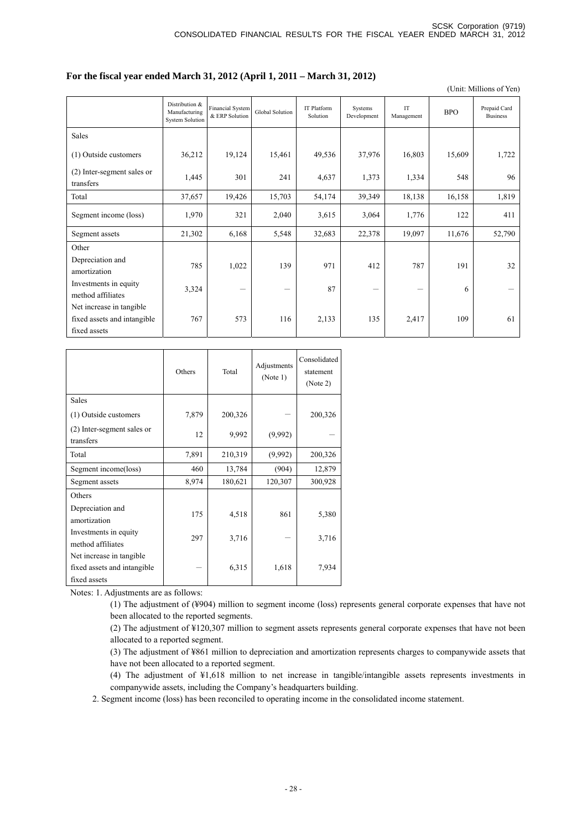## **For the fiscal year ended March 31, 2012 (April 1, 2011 – March 31, 2012)**

(Unit: Millions of Yen)

|                                                                         | Distribution &<br>Manufacturing<br><b>System Solution</b> | Financial System<br>& ERP Solution | Global Solution | <b>IT Platform</b><br>Solution | Systems<br>Development | $\mathop{\text{IT}}$<br>Management | <b>BPO</b> | Prepaid Card<br><b>Business</b> |
|-------------------------------------------------------------------------|-----------------------------------------------------------|------------------------------------|-----------------|--------------------------------|------------------------|------------------------------------|------------|---------------------------------|
| Sales                                                                   |                                                           |                                    |                 |                                |                        |                                    |            |                                 |
| (1) Outside customers                                                   | 36,212                                                    | 19,124                             | 15,461          | 49,536                         | 37,976                 | 16,803                             | 15,609     | 1,722                           |
| (2) Inter-segment sales or<br>transfers                                 | 1,445                                                     | 301                                | 241             | 4,637                          | 1,373                  | 1,334                              | 548        | 96                              |
| Total                                                                   | 37,657                                                    | 19,426                             | 15,703          | 54,174                         | 39,349                 | 18,138                             | 16,158     | 1,819                           |
| Segment income (loss)                                                   | 1,970                                                     | 321                                | 2,040           | 3,615                          | 3,064                  | 1,776                              | 122        | 411                             |
| Segment assets                                                          | 21,302                                                    | 6,168                              | 5,548           | 32,683                         | 22,378                 | 19,097                             | 11,676     | 52,790                          |
| Other<br>Depreciation and<br>amortization                               | 785                                                       | 1,022                              | 139             | 971                            | 412                    | 787                                | 191        | 32                              |
| Investments in equity<br>method affiliates                              | 3,324                                                     |                                    |                 | 87                             | -                      |                                    | 6          |                                 |
| Net increase in tangible<br>fixed assets and intangible<br>fixed assets | 767                                                       | 573                                | 116             | 2,133                          | 135                    | 2,417                              | 109        | 61                              |

|                                            | Others | Total   | Adjustments<br>(Note 1) | Consolidated<br>statement<br>(Note 2) |
|--------------------------------------------|--------|---------|-------------------------|---------------------------------------|
| Sales                                      |        |         |                         |                                       |
| (1) Outside customers                      | 7,879  | 200,326 |                         | 200,326                               |
| (2) Inter-segment sales or<br>transfers    | 12     | 9,992   | (9,992)                 |                                       |
| Total                                      | 7,891  | 210,319 | (9,992)                 | 200,326                               |
| Segment income(loss)                       | 460    | 13,784  | (904)                   | 12,879                                |
| Segment assets                             | 8,974  | 180,621 | 120,307                 | 300,928                               |
| Others                                     |        |         |                         |                                       |
| Depreciation and<br>amortization           | 175    | 4,518   | 861                     | 5,380                                 |
| Investments in equity<br>method affiliates | 297    | 3,716   |                         | 3,716                                 |
| Net increase in tangible.                  |        |         |                         |                                       |
| fixed assets and intangible                |        | 6,315   | 1,618                   | 7,934                                 |
| fixed assets                               |        |         |                         |                                       |

Notes: 1. Adjustments are as follows:

(1) The adjustment of (¥904) million to segment income (loss) represents general corporate expenses that have not been allocated to the reported segments.

(2) The adjustment of ¥120,307 million to segment assets represents general corporate expenses that have not been allocated to a reported segment.

(3) The adjustment of ¥861 million to depreciation and amortization represents charges to companywide assets that have not been allocated to a reported segment.

(4) The adjustment of ¥1,618 million to net increase in tangible/intangible assets represents investments in companywide assets, including the Company's headquarters building.

2. Segment income (loss) has been reconciled to operating income in the consolidated income statement.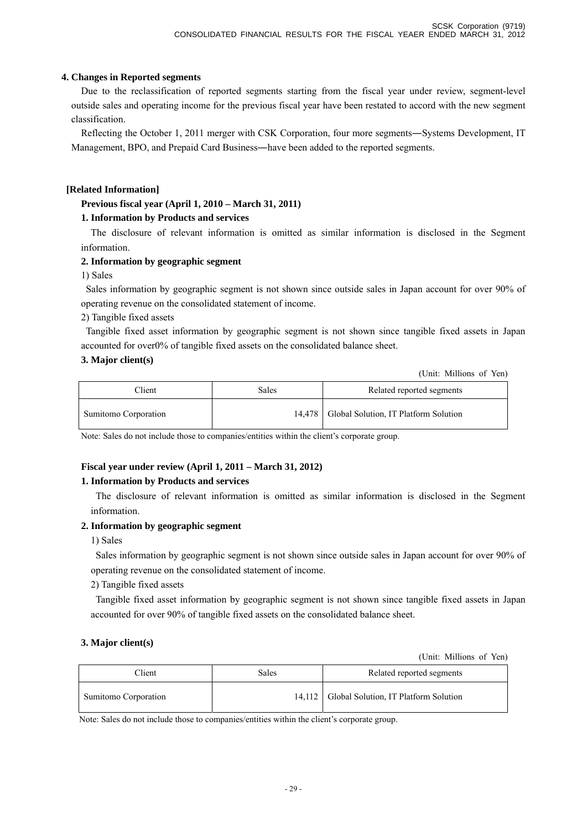# **4. Changes in Reported segments**

Due to the reclassification of reported segments starting from the fiscal year under review, segment-level outside sales and operating income for the previous fiscal year have been restated to accord with the new segment classification.

Reflecting the October 1, 2011 merger with CSK Corporation, four more segments―Systems Development, IT Management, BPO, and Prepaid Card Business―have been added to the reported segments.

# **[Related Information]**

# **Previous fiscal year (April 1, 2010 – March 31, 2011)**

# **1. Information by Products and services**

The disclosure of relevant information is omitted as similar information is disclosed in the Segment information.

# **2. Information by geographic segment**

1) Sales

Sales information by geographic segment is not shown since outside sales in Japan account for over 90% of operating revenue on the consolidated statement of income.

2) Tangible fixed assets

Tangible fixed asset information by geographic segment is not shown since tangible fixed assets in Japan accounted for over0% of tangible fixed assets on the consolidated balance sheet.

# **3. Major client(s)**

(Unit: Millions of Yen)

| Client               | Sales | Related reported segments                      |
|----------------------|-------|------------------------------------------------|
| Sumitomo Corporation |       | 14,478   Global Solution, IT Platform Solution |

Note: Sales do not include those to companies/entities within the client's corporate group.

# **Fiscal year under review (April 1, 2011 – March 31, 2012)**

# **1. Information by Products and services**

The disclosure of relevant information is omitted as similar information is disclosed in the Segment information.

# **2. Information by geographic segment**

1) Sales

Sales information by geographic segment is not shown since outside sales in Japan account for over 90% of operating revenue on the consolidated statement of income.

2) Tangible fixed assets

Tangible fixed asset information by geographic segment is not shown since tangible fixed assets in Japan accounted for over 90% of tangible fixed assets on the consolidated balance sheet.

# **3. Major client(s)**

(Unit: Millions of Yen)

| Client               | Sales | Related reported segments                      |
|----------------------|-------|------------------------------------------------|
| Sumitomo Corporation |       | 14,112   Global Solution, IT Platform Solution |

Note: Sales do not include those to companies/entities within the client's corporate group.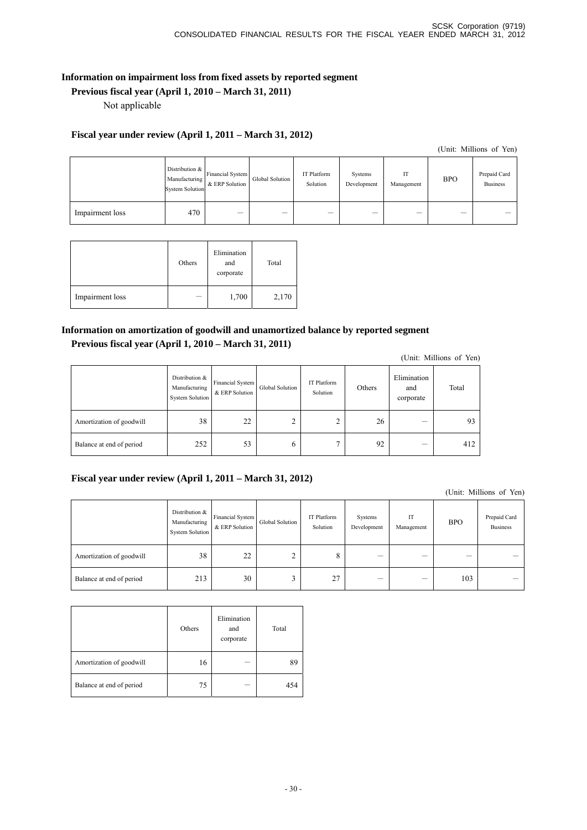# **Information on impairment loss from fixed assets by reported segment**

# **Previous fiscal year (April 1, 2010 – March 31, 2011)**

Not applicable

# **Fiscal year under review (April 1, 2011 – March 31, 2012)**

(Unit: Millions of Yen)

|                 | Distribution $&$<br>Manufacturing<br><b>System Solution</b> | <b>Financial System</b><br>& ERP Solution | Global Solution | IT Platform<br>Solution | Systems<br>Development | <b>IT</b><br><br>Management | <b>BPO</b> | Prepaid Card<br><b>Business</b> |
|-----------------|-------------------------------------------------------------|-------------------------------------------|-----------------|-------------------------|------------------------|-----------------------------|------------|---------------------------------|
| Impairment loss | 470                                                         | —                                         |                 |                         |                        | –                           | –          |                                 |

|                 | Others                          | Elimination<br>and<br>corporate | Total |
|-----------------|---------------------------------|---------------------------------|-------|
| Impairment loss | $\hspace{0.1mm}-\hspace{0.1mm}$ | 1,700                           | 2,170 |

# **Information on amortization of goodwill and unamortized balance by reported segment Previous fiscal year (April 1, 2010 – March 31, 2011)**

(Unit: Millions of Yen)

|                          | Distribution &<br>Manufacturing<br><b>System Solution</b> | Financial System<br>& ERP Solution | Global Solution | IT Platform<br>Solution | Others | Elimination<br>and<br>corporate | Total |
|--------------------------|-----------------------------------------------------------|------------------------------------|-----------------|-------------------------|--------|---------------------------------|-------|
| Amortization of goodwill | 38                                                        | 22                                 | ⌒<br>∸          | ∸                       | 26     |                                 | 93    |
| Balance at end of period | 252                                                       | 53                                 | O               |                         | 92     | –                               | 412   |

# **Fiscal year under review (April 1, 2011 – March 31, 2012)**

(Unit: Millions of Yen)

|                          | Distribution &<br>Manufacturing<br><b>System Solution</b> | <b>Financial System</b><br>& ERP Solution | Global Solution | IT Platform<br>Solution | Systems<br>Development | IT<br>Management | <b>BPO</b> | Prepaid Card<br><b>Business</b> |
|--------------------------|-----------------------------------------------------------|-------------------------------------------|-----------------|-------------------------|------------------------|------------------|------------|---------------------------------|
| Amortization of goodwill | 38                                                        | 22                                        |                 | 8                       |                        |                  |            |                                 |
| Balance at end of period | 213                                                       | 30                                        |                 | 27                      |                        |                  | 103        |                                 |

|                          | Others | Elimination<br>and<br>corporate | Total |
|--------------------------|--------|---------------------------------|-------|
| Amortization of goodwill | 16     |                                 | 89    |
| Balance at end of period | 75     |                                 | 454   |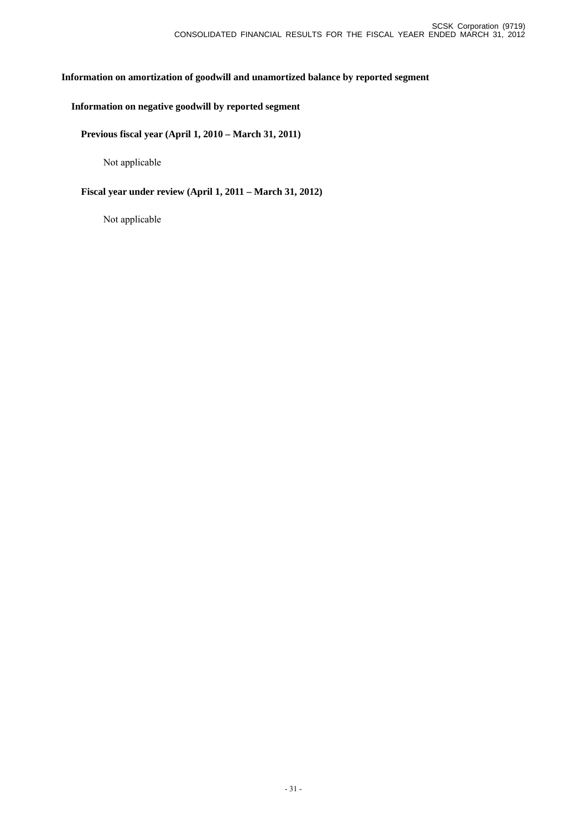# **Information on amortization of goodwill and unamortized balance by reported segment**

# **Information on negative goodwill by reported segment**

## **Previous fiscal year (April 1, 2010 – March 31, 2011)**

Not applicable

# **Fiscal year under review (April 1, 2011 – March 31, 2012)**

Not applicable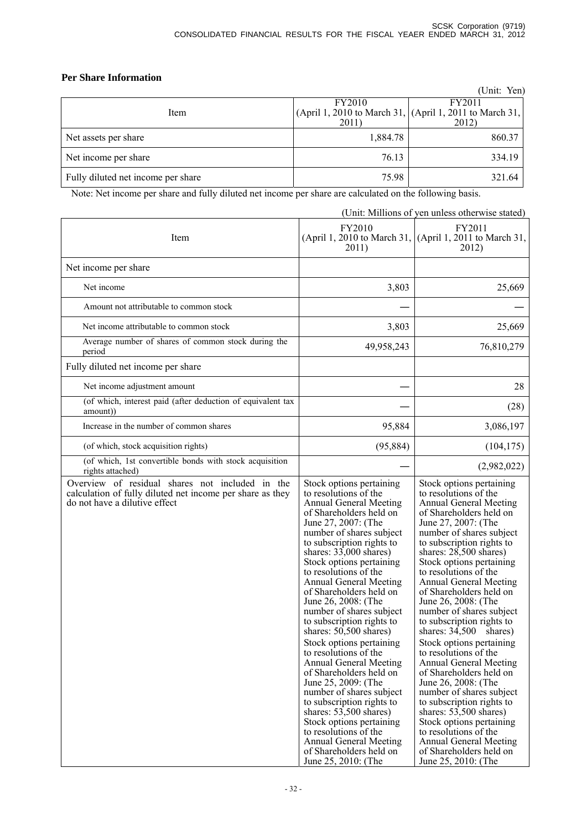# **Per Share Information**

|                                    |             | (Unit: Yen)                                             |
|------------------------------------|-------------|---------------------------------------------------------|
|                                    | FY2010      | FY2011                                                  |
| Item                               |             | (April 1, 2010 to March 31, (April 1, 2011 to March 31, |
|                                    | <b>2011</b> | 2012)                                                   |
| Net assets per share               | 1,884.78    | 860.37                                                  |
| Net income per share               | 76.13       | 334.19                                                  |
| Fully diluted net income per share | 75.98       | 321.64                                                  |

Note: Net income per share and fully diluted net income per share are calculated on the following basis.

|                                                                                                                                               |                                                                                                                                                                                                                                                                                                                                                                                                                                                                                                                                                                                                                                                                                                                                                                                                                             | (Unit: Millions of yen unless otherwise stated)                                                                                                                                                                                                                                                                                                                                                                                                                                                                                                                                                                                                                                                                                                                                                                           |
|-----------------------------------------------------------------------------------------------------------------------------------------------|-----------------------------------------------------------------------------------------------------------------------------------------------------------------------------------------------------------------------------------------------------------------------------------------------------------------------------------------------------------------------------------------------------------------------------------------------------------------------------------------------------------------------------------------------------------------------------------------------------------------------------------------------------------------------------------------------------------------------------------------------------------------------------------------------------------------------------|---------------------------------------------------------------------------------------------------------------------------------------------------------------------------------------------------------------------------------------------------------------------------------------------------------------------------------------------------------------------------------------------------------------------------------------------------------------------------------------------------------------------------------------------------------------------------------------------------------------------------------------------------------------------------------------------------------------------------------------------------------------------------------------------------------------------------|
| Item                                                                                                                                          | FY2010<br>2011)                                                                                                                                                                                                                                                                                                                                                                                                                                                                                                                                                                                                                                                                                                                                                                                                             | FY2011<br>(April 1, 2010 to March 31, (April 1, 2011 to March 31,<br>2012)                                                                                                                                                                                                                                                                                                                                                                                                                                                                                                                                                                                                                                                                                                                                                |
| Net income per share                                                                                                                          |                                                                                                                                                                                                                                                                                                                                                                                                                                                                                                                                                                                                                                                                                                                                                                                                                             |                                                                                                                                                                                                                                                                                                                                                                                                                                                                                                                                                                                                                                                                                                                                                                                                                           |
| Net income                                                                                                                                    | 3,803                                                                                                                                                                                                                                                                                                                                                                                                                                                                                                                                                                                                                                                                                                                                                                                                                       | 25,669                                                                                                                                                                                                                                                                                                                                                                                                                                                                                                                                                                                                                                                                                                                                                                                                                    |
| Amount not attributable to common stock                                                                                                       |                                                                                                                                                                                                                                                                                                                                                                                                                                                                                                                                                                                                                                                                                                                                                                                                                             |                                                                                                                                                                                                                                                                                                                                                                                                                                                                                                                                                                                                                                                                                                                                                                                                                           |
| Net income attributable to common stock                                                                                                       | 3,803                                                                                                                                                                                                                                                                                                                                                                                                                                                                                                                                                                                                                                                                                                                                                                                                                       | 25,669                                                                                                                                                                                                                                                                                                                                                                                                                                                                                                                                                                                                                                                                                                                                                                                                                    |
| Average number of shares of common stock during the<br>period                                                                                 | 49,958,243                                                                                                                                                                                                                                                                                                                                                                                                                                                                                                                                                                                                                                                                                                                                                                                                                  | 76,810,279                                                                                                                                                                                                                                                                                                                                                                                                                                                                                                                                                                                                                                                                                                                                                                                                                |
| Fully diluted net income per share                                                                                                            |                                                                                                                                                                                                                                                                                                                                                                                                                                                                                                                                                                                                                                                                                                                                                                                                                             |                                                                                                                                                                                                                                                                                                                                                                                                                                                                                                                                                                                                                                                                                                                                                                                                                           |
| Net income adjustment amount                                                                                                                  |                                                                                                                                                                                                                                                                                                                                                                                                                                                                                                                                                                                                                                                                                                                                                                                                                             | 28                                                                                                                                                                                                                                                                                                                                                                                                                                                                                                                                                                                                                                                                                                                                                                                                                        |
| (of which, interest paid (after deduction of equivalent tax<br>amount)                                                                        |                                                                                                                                                                                                                                                                                                                                                                                                                                                                                                                                                                                                                                                                                                                                                                                                                             | (28)                                                                                                                                                                                                                                                                                                                                                                                                                                                                                                                                                                                                                                                                                                                                                                                                                      |
| Increase in the number of common shares                                                                                                       | 95,884                                                                                                                                                                                                                                                                                                                                                                                                                                                                                                                                                                                                                                                                                                                                                                                                                      | 3,086,197                                                                                                                                                                                                                                                                                                                                                                                                                                                                                                                                                                                                                                                                                                                                                                                                                 |
| (of which, stock acquisition rights)                                                                                                          | (95, 884)                                                                                                                                                                                                                                                                                                                                                                                                                                                                                                                                                                                                                                                                                                                                                                                                                   | (104, 175)                                                                                                                                                                                                                                                                                                                                                                                                                                                                                                                                                                                                                                                                                                                                                                                                                |
| (of which, 1st convertible bonds with stock acquisition<br>rights attached)                                                                   |                                                                                                                                                                                                                                                                                                                                                                                                                                                                                                                                                                                                                                                                                                                                                                                                                             | (2,982,022)                                                                                                                                                                                                                                                                                                                                                                                                                                                                                                                                                                                                                                                                                                                                                                                                               |
| Overview of residual shares not included in the<br>calculation of fully diluted net income per share as they<br>do not have a dilutive effect | Stock options pertaining<br>to resolutions of the<br><b>Annual General Meeting</b><br>of Shareholders held on<br>June 27, 2007: (The<br>number of shares subject<br>to subscription rights to<br>shares: $33,000$ shares)<br>Stock options pertaining<br>to resolutions of the<br><b>Annual General Meeting</b><br>of Shareholders held on<br>June 26, 2008: (The<br>number of shares subject<br>to subscription rights to<br>shares: $50,500$ shares)<br>Stock options pertaining<br>to resolutions of the<br><b>Annual General Meeting</b><br>of Shareholders held on<br>June 25, 2009: (The<br>number of shares subject<br>to subscription rights to<br>shares: $53,500$ shares)<br>Stock options pertaining<br>to resolutions of the<br><b>Annual General Meeting</b><br>of Shareholders held on<br>June 25, 2010: (The | Stock options pertaining<br>to resolutions of the<br><b>Annual General Meeting</b><br>of Shareholders held on<br>June 27, 2007: (The<br>number of shares subject<br>to subscription rights to<br>shares: 28,500 shares)<br>Stock options pertaining<br>to resolutions of the<br><b>Annual General Meeting</b><br>of Shareholders held on<br>June 26, 2008: (The<br>number of shares subject<br>to subscription rights to<br>shares: $34,500$ shares)<br>Stock options pertaining<br>to resolutions of the<br><b>Annual General Meeting</b><br>of Shareholders held on<br>June 26, 2008: (The<br>number of shares subject<br>to subscription rights to<br>shares: $53,500$ shares)<br>Stock options pertaining<br>to resolutions of the<br><b>Annual General Meeting</b><br>of Shareholders held on<br>June 25, 2010: (The |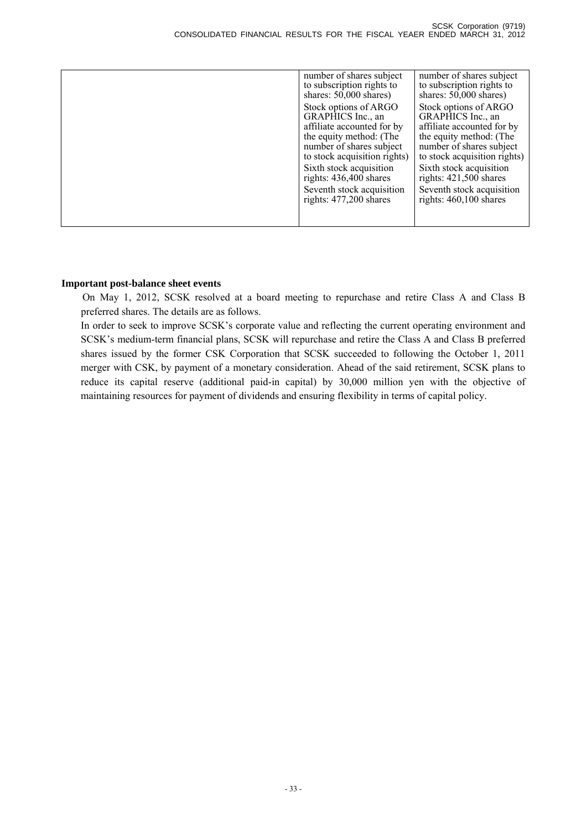| number of shares subject<br>to subscription rights to<br>shares: $50,000$ shares)                                                                               | number of shares subject<br>to subscription rights to<br>shares: $50,000$ shares)                                                                               |
|-----------------------------------------------------------------------------------------------------------------------------------------------------------------|-----------------------------------------------------------------------------------------------------------------------------------------------------------------|
| Stock options of ARGO<br>GRAPHICS Inc., an<br>affiliate accounted for by<br>the equity method: (The<br>number of shares subject<br>to stock acquisition rights) | Stock options of ARGO<br>GRAPHICS Inc., an<br>affiliate accounted for by<br>the equity method: (The<br>number of shares subject<br>to stock acquisition rights) |
| Sixth stock acquisition<br>rights: $436,400$ shares                                                                                                             | Sixth stock acquisition<br>rights: $421,500$ shares                                                                                                             |
| Seventh stock acquisition<br>rights: 477,200 shares                                                                                                             | Seventh stock acquisition<br>rights: 460,100 shares                                                                                                             |
|                                                                                                                                                                 |                                                                                                                                                                 |

# **Important post-balance sheet events**

On May 1, 2012, SCSK resolved at a board meeting to repurchase and retire Class A and Class B preferred shares. The details are as follows.

In order to seek to improve SCSK's corporate value and reflecting the current operating environment and SCSK's medium-term financial plans, SCSK will repurchase and retire the Class A and Class B preferred shares issued by the former CSK Corporation that SCSK succeeded to following the October 1, 2011 merger with CSK, by payment of a monetary consideration. Ahead of the said retirement, SCSK plans to reduce its capital reserve (additional paid-in capital) by 30,000 million yen with the objective of maintaining resources for payment of dividends and ensuring flexibility in terms of capital policy.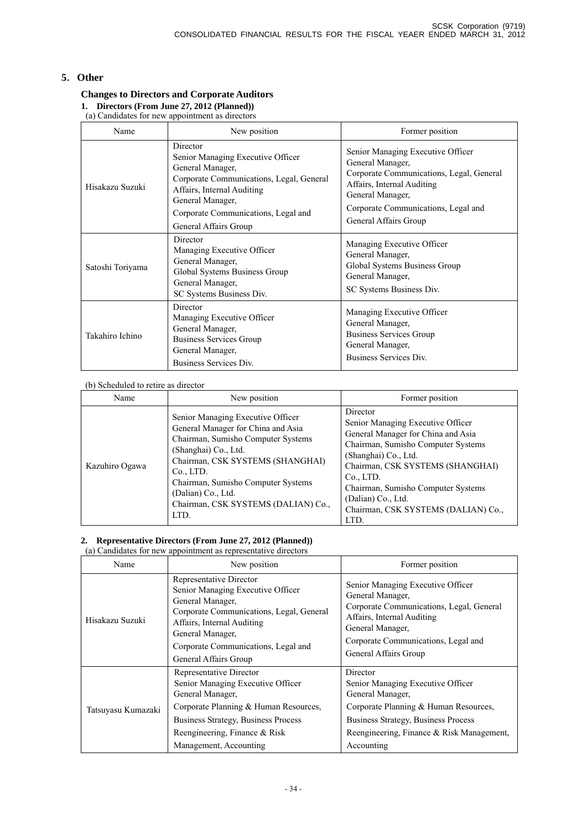# **5**.**Other**

# **Changes to Directors and Corporate Auditors**

**1. Directors (From June 27, 2012 (Planned))**  (a) Candidates for new appointment as directors

| Name             | New position                                                                                                                                                                                                                    | Former position                                                                                                                                                                                                     |
|------------------|---------------------------------------------------------------------------------------------------------------------------------------------------------------------------------------------------------------------------------|---------------------------------------------------------------------------------------------------------------------------------------------------------------------------------------------------------------------|
| Hisakazu Suzuki  | Director<br>Senior Managing Executive Officer<br>General Manager,<br>Corporate Communications, Legal, General<br>Affairs, Internal Auditing<br>General Manager,<br>Corporate Communications, Legal and<br>General Affairs Group | Senior Managing Executive Officer<br>General Manager,<br>Corporate Communications, Legal, General<br>Affairs, Internal Auditing<br>General Manager,<br>Corporate Communications, Legal and<br>General Affairs Group |
| Satoshi Toriyama | Director<br>Managing Executive Officer<br>General Manager,<br>Global Systems Business Group<br>General Manager,<br>SC Systems Business Div.                                                                                     | Managing Executive Officer<br>General Manager,<br>Global Systems Business Group<br>General Manager,<br>SC Systems Business Div.                                                                                     |
| Takahiro Ichino  | Director<br>Managing Executive Officer<br>General Manager,<br><b>Business Services Group</b><br>General Manager,<br>Business Services Div.                                                                                      | Managing Executive Officer<br>General Manager,<br><b>Business Services Group</b><br>General Manager,<br>Business Services Div.                                                                                      |

### (b) Scheduled to retire as director

| Name           | New position                                                                                                                                                                                                                                                                                      | Former position                                                                                                                                                                                                                                                                                               |
|----------------|---------------------------------------------------------------------------------------------------------------------------------------------------------------------------------------------------------------------------------------------------------------------------------------------------|---------------------------------------------------------------------------------------------------------------------------------------------------------------------------------------------------------------------------------------------------------------------------------------------------------------|
| Kazuhiro Ogawa | Senior Managing Executive Officer<br>General Manager for China and Asia<br>Chairman, Sumisho Computer Systems<br>(Shanghai) Co., Ltd.<br>Chairman, CSK SYSTEMS (SHANGHAI)<br>Co., LTD.<br>Chairman, Sumisho Computer Systems<br>(Dalian) Co., Ltd.<br>Chairman, CSK SYSTEMS (DALIAN) Co.,<br>LTD. | Director<br>Senior Managing Executive Officer<br>General Manager for China and Asia<br>Chairman, Sumisho Computer Systems<br>(Shanghai) Co., Ltd.<br>Chairman, CSK SYSTEMS (SHANGHAI)<br>Co., LTD.<br>Chairman, Sumisho Computer Systems<br>(Dalian) Co., Ltd.<br>Chairman, CSK SYSTEMS (DALIAN) Co.,<br>LTD. |

### **2. Representative Directors (From June 27, 2012 (Planned))**

| (a) Candidates for new appointment as representative directors |                                                                                                                                                                                                                                                |                                                                                                                                                                                                                     |
|----------------------------------------------------------------|------------------------------------------------------------------------------------------------------------------------------------------------------------------------------------------------------------------------------------------------|---------------------------------------------------------------------------------------------------------------------------------------------------------------------------------------------------------------------|
| Name                                                           | New position                                                                                                                                                                                                                                   | Former position                                                                                                                                                                                                     |
| Hisakazu Suzuki                                                | Representative Director<br>Senior Managing Executive Officer<br>General Manager,<br>Corporate Communications, Legal, General<br>Affairs, Internal Auditing<br>General Manager,<br>Corporate Communications, Legal and<br>General Affairs Group | Senior Managing Executive Officer<br>General Manager,<br>Corporate Communications, Legal, General<br>Affairs, Internal Auditing<br>General Manager,<br>Corporate Communications, Legal and<br>General Affairs Group |
| Tatsuyasu Kumazaki                                             | Representative Director<br>Senior Managing Executive Officer<br>General Manager,<br>Corporate Planning & Human Resources,<br><b>Business Strategy, Business Process</b><br>Reengineering, Finance & Risk<br>Management, Accounting             | Director<br>Senior Managing Executive Officer<br>General Manager,<br>Corporate Planning & Human Resources,<br><b>Business Strategy, Business Process</b><br>Reengineering, Finance & Risk Management,<br>Accounting |